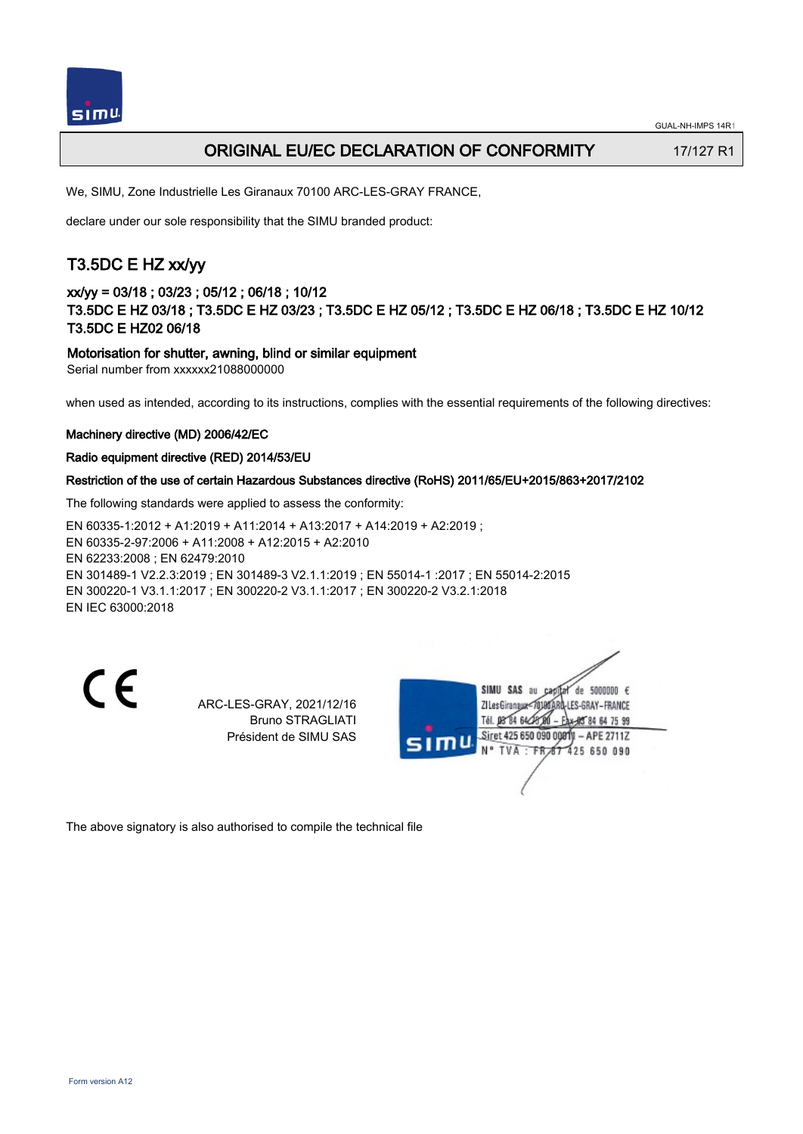

## ORIGINAL EU/EC DECLARATION OF CONFORMITY 17/127 R1

We, SIMU, Zone Industrielle Les Giranaux 70100 ARC-LES-GRAY FRANCE,

declare under our sole responsibility that the SIMU branded product:

# T3.5DC E HZ xx/yy

## xx/yy = 03/18 ; 03/23 ; 05/12 ; 06/18 ; 10/12 T3.5DC E HZ 03/18 ; T3.5DC E HZ 03/23 ; T3.5DC E HZ 05/12 ; T3.5DC E HZ 06/18 ; T3.5DC E HZ 10/12 T3.5DC E HZ02 06/18

### Motorisation for shutter, awning, blind or similar equipment

Serial number from xxxxxx21088000000

when used as intended, according to its instructions, complies with the essential requirements of the following directives:

### Machinery directive (MD) 2006/42/EC

### Radio equipment directive (RED) 2014/53/EU

### Restriction of the use of certain Hazardous Substances directive (RoHS) 2011/65/EU+2015/863+2017/2102

The following standards were applied to assess the conformity:

EN 60335‑1:2012 + A1:2019 + A11:2014 + A13:2017 + A14:2019 + A2:2019 ; EN 60335‑2‑97:2006 + A11:2008 + A12:2015 + A2:2010 EN 62233:2008 ; EN 62479:2010 EN 301489‑1 V2.2.3:2019 ; EN 301489‑3 V2.1.1:2019 ; EN 55014‑1 :2017 ; EN 55014‑2:2015 EN 300220‑1 V3.1.1:2017 ; EN 300220‑2 V3.1.1:2017 ; EN 300220‑2 V3.2.1:2018 EN IEC 63000:2018

C E

ARC-LES-GRAY, 2021/12/16 Bruno STRAGLIATI Président de SIMU SAS



The above signatory is also authorised to compile the technical file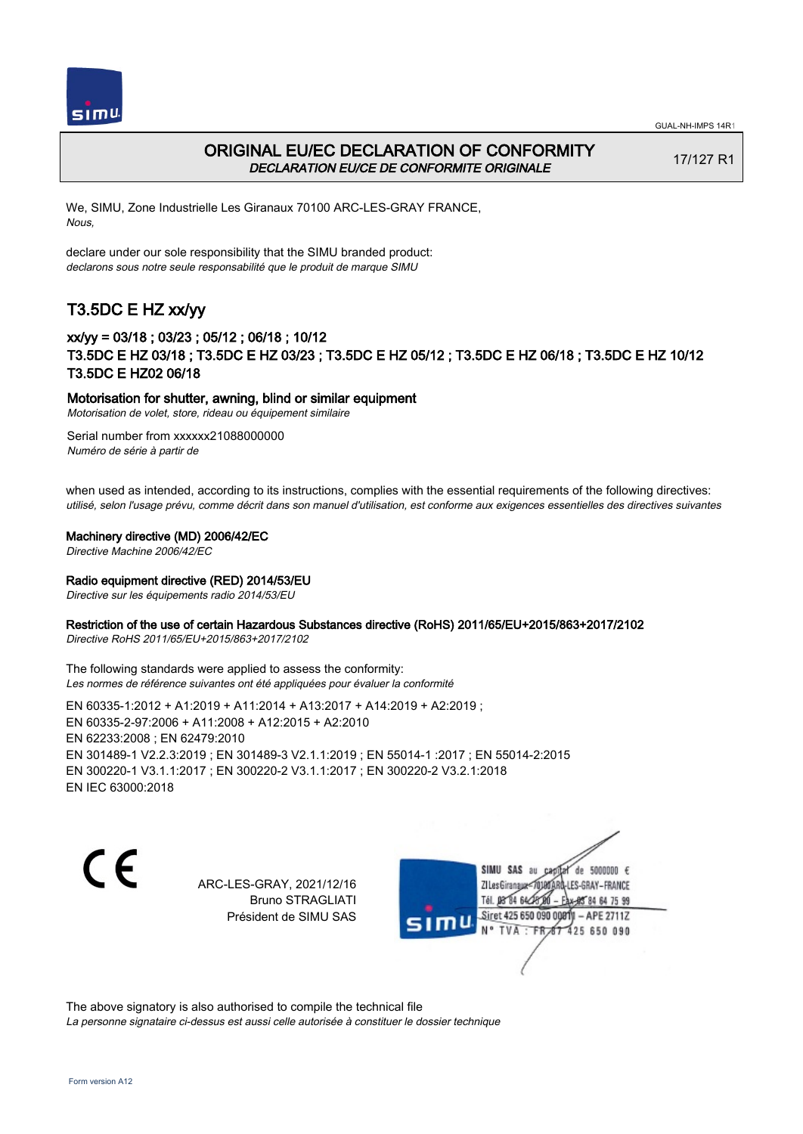



## ORIGINAL EU/EC DECLARATION OF CONFORMITY DECLARATION EU/CE DE CONFORMITE ORIGINALE

17/127 R1

We, SIMU, Zone Industrielle Les Giranaux 70100 ARC-LES-GRAY FRANCE, Nous,

declare under our sole responsibility that the SIMU branded product: declarons sous notre seule responsabilité que le produit de marque SIMU

## T3.5DC E HZ xx/yy

## xx/yy = 03/18 ; 03/23 ; 05/12 ; 06/18 ; 10/12 T3.5DC E HZ 03/18 ; T3.5DC E HZ 03/23 ; T3.5DC E HZ 05/12 ; T3.5DC E HZ 06/18 ; T3.5DC E HZ 10/12 T3.5DC E HZ02 06/18

### Motorisation for shutter, awning, blind or similar equipment

Motorisation de volet, store, rideau ou équipement similaire

Serial number from xxxxxx21088000000 Numéro de série à partir de

when used as intended, according to its instructions, complies with the essential requirements of the following directives: utilisé, selon l'usage prévu, comme décrit dans son manuel d'utilisation, est conforme aux exigences essentielles des directives suivantes

### Machinery directive (MD) 2006/42/EC

Directive Machine 2006/42/EC

### Radio equipment directive (RED) 2014/53/EU

Directive sur les équipements radio 2014/53/EU

### Restriction of the use of certain Hazardous Substances directive (RoHS) 2011/65/EU+2015/863+2017/2102

Directive RoHS 2011/65/EU+2015/863+2017/2102

The following standards were applied to assess the conformity: Les normes de référence suivantes ont été appliquées pour évaluer la conformité

EN 60335‑1:2012 + A1:2019 + A11:2014 + A13:2017 + A14:2019 + A2:2019 ; EN 60335‑2‑97:2006 + A11:2008 + A12:2015 + A2:2010 EN 62233:2008 ; EN 62479:2010 EN 301489‑1 V2.2.3:2019 ; EN 301489‑3 V2.1.1:2019 ; EN 55014‑1 :2017 ; EN 55014‑2:2015 EN 300220‑1 V3.1.1:2017 ; EN 300220‑2 V3.1.1:2017 ; EN 300220‑2 V3.2.1:2018 EN IEC 63000:2018

C E

ARC-LES-GRAY, 2021/12/16 Bruno STRAGLIATI Président de SIMU SAS

SIMU SAS au de 5000000  $\epsilon$ ZI Les Giranaux</DJ80 LES-GRAY-FRANCE Tél. 08 84 64 28 84 64 75 99 Siret 425 650 090 0081  $-$  APE 2711Z 'nЦ TVA · FRAT 425 650 090

The above signatory is also authorised to compile the technical file La personne signataire ci-dessus est aussi celle autorisée à constituer le dossier technique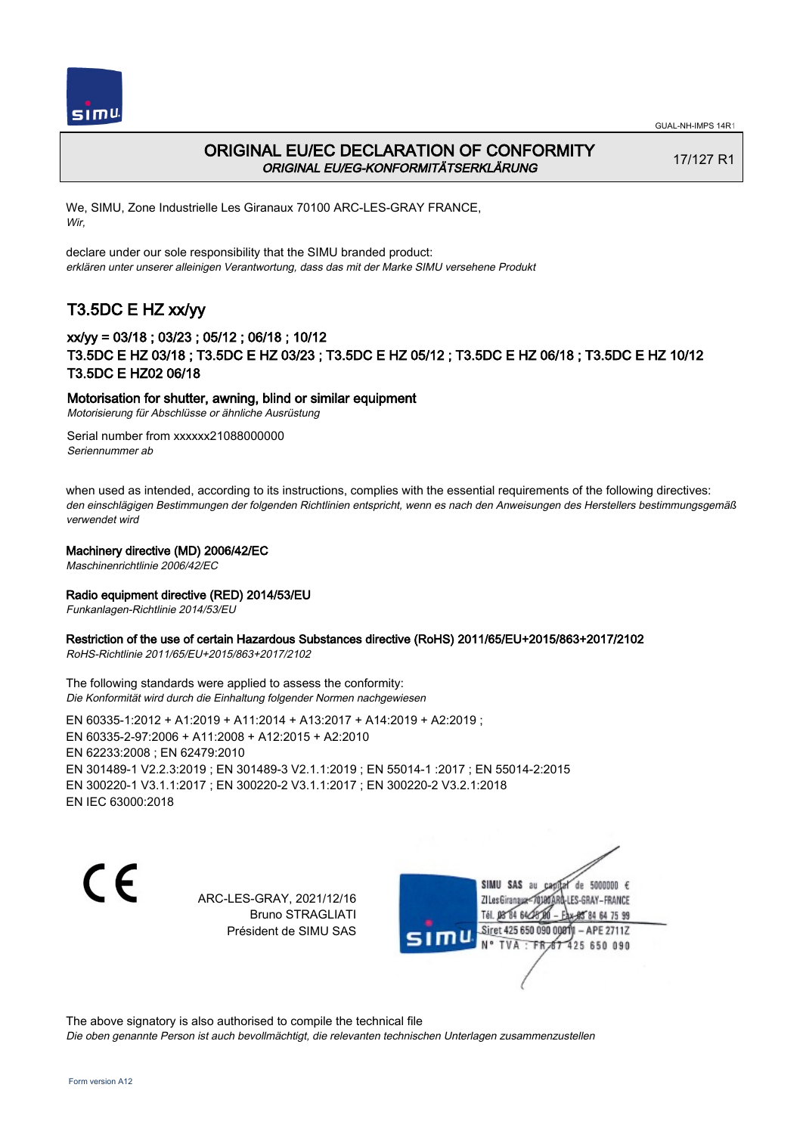



## ORIGINAL EU/EC DECLARATION OF CONFORMITY ORIGINAL EU/EG-KONFORMITÄTSERKLÄRUNG

17/127 R1

We, SIMU, Zone Industrielle Les Giranaux 70100 ARC-LES-GRAY FRANCE, Wir,

declare under our sole responsibility that the SIMU branded product: erklären unter unserer alleinigen Verantwortung, dass das mit der Marke SIMU versehene Produkt

# T3.5DC E HZ xx/yy

## xx/yy = 03/18 ; 03/23 ; 05/12 ; 06/18 ; 10/12 T3.5DC E HZ 03/18 ; T3.5DC E HZ 03/23 ; T3.5DC E HZ 05/12 ; T3.5DC E HZ 06/18 ; T3.5DC E HZ 10/12 T3.5DC E HZ02 06/18

### Motorisation for shutter, awning, blind or similar equipment

Motorisierung für Abschlüsse or ähnliche Ausrüstung

Serial number from xxxxxx21088000000 Seriennummer ab

when used as intended, according to its instructions, complies with the essential requirements of the following directives: den einschlägigen Bestimmungen der folgenden Richtlinien entspricht, wenn es nach den Anweisungen des Herstellers bestimmungsgemäß verwendet wird

### Machinery directive (MD) 2006/42/EC

Maschinenrichtlinie 2006/42/EC

### Radio equipment directive (RED) 2014/53/EU

Funkanlagen-Richtlinie 2014/53/EU

### Restriction of the use of certain Hazardous Substances directive (RoHS) 2011/65/EU+2015/863+2017/2102

RoHS-Richtlinie 2011/65/EU+2015/863+2017/2102

The following standards were applied to assess the conformity: Die Konformität wird durch die Einhaltung folgender Normen nachgewiesen

EN 60335‑1:2012 + A1:2019 + A11:2014 + A13:2017 + A14:2019 + A2:2019 ; EN 60335‑2‑97:2006 + A11:2008 + A12:2015 + A2:2010 EN 62233:2008 ; EN 62479:2010 EN 301489‑1 V2.2.3:2019 ; EN 301489‑3 V2.1.1:2019 ; EN 55014‑1 :2017 ; EN 55014‑2:2015 EN 300220‑1 V3.1.1:2017 ; EN 300220‑2 V3.1.1:2017 ; EN 300220‑2 V3.2.1:2018 EN IEC 63000:2018

 $\epsilon$ 

ARC-LES-GRAY, 2021/12/16 Bruno STRAGLIATI Président de SIMU SAS



The above signatory is also authorised to compile the technical file

Die oben genannte Person ist auch bevollmächtigt, die relevanten technischen Unterlagen zusammenzustellen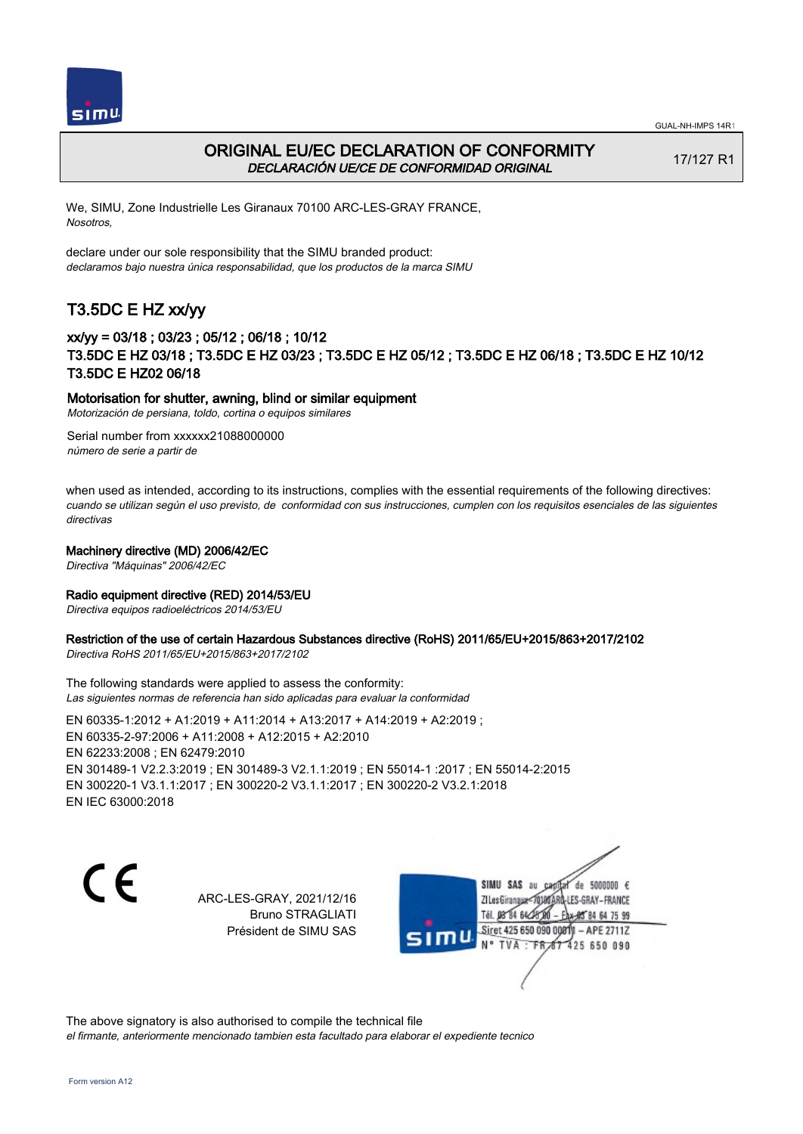

## ORIGINAL EU/EC DECLARATION OF CONFORMITY DECLARACIÓN UE/CE DE CONFORMIDAD ORIGINAL

17/127 R1

We, SIMU, Zone Industrielle Les Giranaux 70100 ARC-LES-GRAY FRANCE, Nosotros,

declare under our sole responsibility that the SIMU branded product: declaramos bajo nuestra única responsabilidad, que los productos de la marca SIMU

# T3.5DC E HZ xx/yy

## xx/yy = 03/18 ; 03/23 ; 05/12 ; 06/18 ; 10/12 T3.5DC E HZ 03/18 ; T3.5DC E HZ 03/23 ; T3.5DC E HZ 05/12 ; T3.5DC E HZ 06/18 ; T3.5DC E HZ 10/12 T3.5DC E HZ02 06/18

### Motorisation for shutter, awning, blind or similar equipment

Motorización de persiana, toldo, cortina o equipos similares

Serial number from xxxxxx21088000000 número de serie a partir de

when used as intended, according to its instructions, complies with the essential requirements of the following directives: cuando se utilizan según el uso previsto, de conformidad con sus instrucciones, cumplen con los requisitos esenciales de las siguientes directivas

### Machinery directive (MD) 2006/42/EC

Directiva "Máquinas" 2006/42/EC

### Radio equipment directive (RED) 2014/53/EU

Directiva equipos radioeléctricos 2014/53/EU

### Restriction of the use of certain Hazardous Substances directive (RoHS) 2011/65/EU+2015/863+2017/2102

Directiva RoHS 2011/65/EU+2015/863+2017/2102

The following standards were applied to assess the conformity: Las siguientes normas de referencia han sido aplicadas para evaluar la conformidad

EN 60335‑1:2012 + A1:2019 + A11:2014 + A13:2017 + A14:2019 + A2:2019 ; EN 60335‑2‑97:2006 + A11:2008 + A12:2015 + A2:2010 EN 62233:2008 ; EN 62479:2010 EN 301489‑1 V2.2.3:2019 ; EN 301489‑3 V2.1.1:2019 ; EN 55014‑1 :2017 ; EN 55014‑2:2015 EN 300220‑1 V3.1.1:2017 ; EN 300220‑2 V3.1.1:2017 ; EN 300220‑2 V3.2.1:2018 EN IEC 63000:2018

 $\epsilon$ 

ARC-LES-GRAY, 2021/12/16 Bruno STRAGLIATI Président de SIMU SAS



The above signatory is also authorised to compile the technical file el firmante, anteriormente mencionado tambien esta facultado para elaborar el expediente tecnico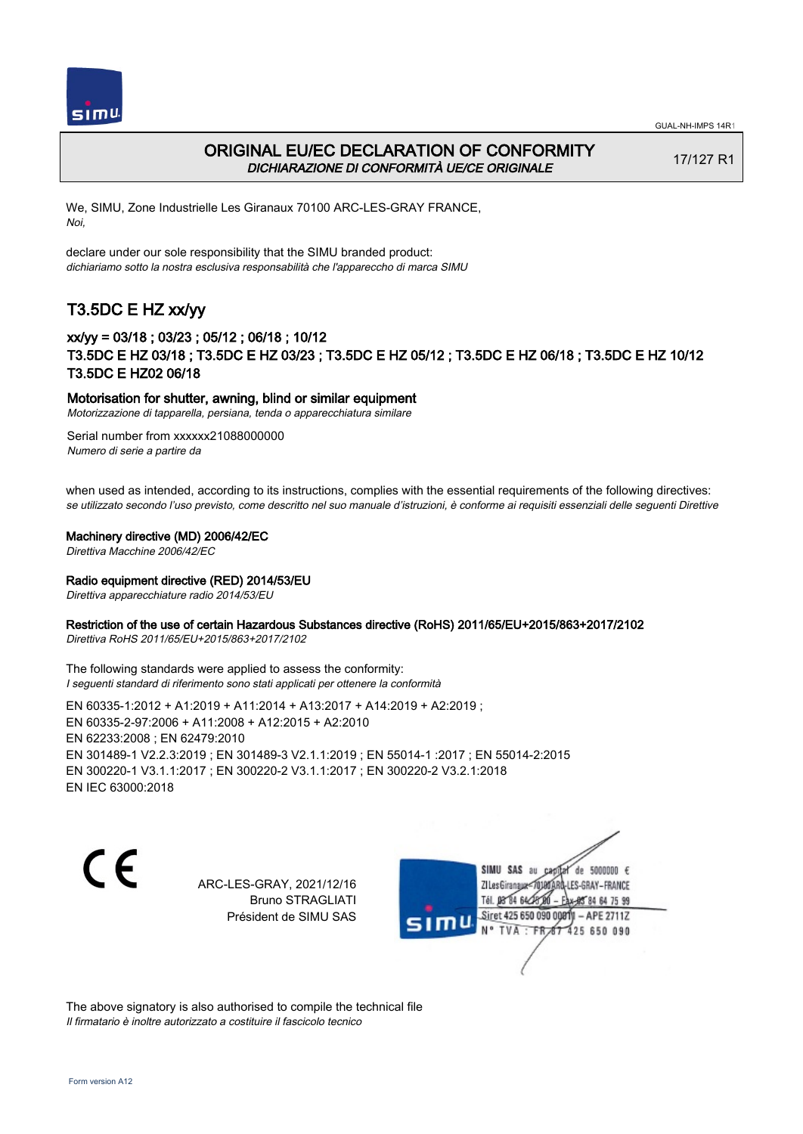



## ORIGINAL EU/EC DECLARATION OF CONFORMITY DICHIARAZIONE DI CONFORMITÀ UE/CE ORIGINALE

17/127 R1

We, SIMU, Zone Industrielle Les Giranaux 70100 ARC-LES-GRAY FRANCE, Noi,

declare under our sole responsibility that the SIMU branded product: dichiariamo sotto la nostra esclusiva responsabilità che l'appareccho di marca SIMU

## T3.5DC E HZ xx/yy

## xx/yy = 03/18 ; 03/23 ; 05/12 ; 06/18 ; 10/12 T3.5DC E HZ 03/18 ; T3.5DC E HZ 03/23 ; T3.5DC E HZ 05/12 ; T3.5DC E HZ 06/18 ; T3.5DC E HZ 10/12 T3.5DC E HZ02 06/18

### Motorisation for shutter, awning, blind or similar equipment

Motorizzazione di tapparella, persiana, tenda o apparecchiatura similare

Serial number from xxxxxx21088000000 Numero di serie a partire da

when used as intended, according to its instructions, complies with the essential requirements of the following directives: se utilizzato secondo l'uso previsto, come descritto nel suo manuale d'istruzioni, è conforme ai requisiti essenziali delle seguenti Direttive

### Machinery directive (MD) 2006/42/EC

Direttiva Macchine 2006/42/EC

### Radio equipment directive (RED) 2014/53/EU

Direttiva apparecchiature radio 2014/53/EU

### Restriction of the use of certain Hazardous Substances directive (RoHS) 2011/65/EU+2015/863+2017/2102

Direttiva RoHS 2011/65/EU+2015/863+2017/2102

The following standards were applied to assess the conformity: I seguenti standard di riferimento sono stati applicati per ottenere la conformità

EN 60335‑1:2012 + A1:2019 + A11:2014 + A13:2017 + A14:2019 + A2:2019 ; EN 60335‑2‑97:2006 + A11:2008 + A12:2015 + A2:2010 EN 62233:2008 ; EN 62479:2010 EN 301489‑1 V2.2.3:2019 ; EN 301489‑3 V2.1.1:2019 ; EN 55014‑1 :2017 ; EN 55014‑2:2015 EN 300220‑1 V3.1.1:2017 ; EN 300220‑2 V3.1.1:2017 ; EN 300220‑2 V3.2.1:2018 EN IEC 63000:2018

C E

ARC-LES-GRAY, 2021/12/16 Bruno STRAGLIATI Président de SIMU SAS

SIMU SAS au de 5000000  $\epsilon$ ZI Les Giranaux</DJ80 -LES-GRAY-FRANCE Tél. 08 84 64 28 85 84 64 75 99 Siret 425 650 090 0081  $-$  APE 2711Z mu 425 650 090 TVA · FRAT

The above signatory is also authorised to compile the technical file Il firmatario è inoltre autorizzato a costituire il fascicolo tecnico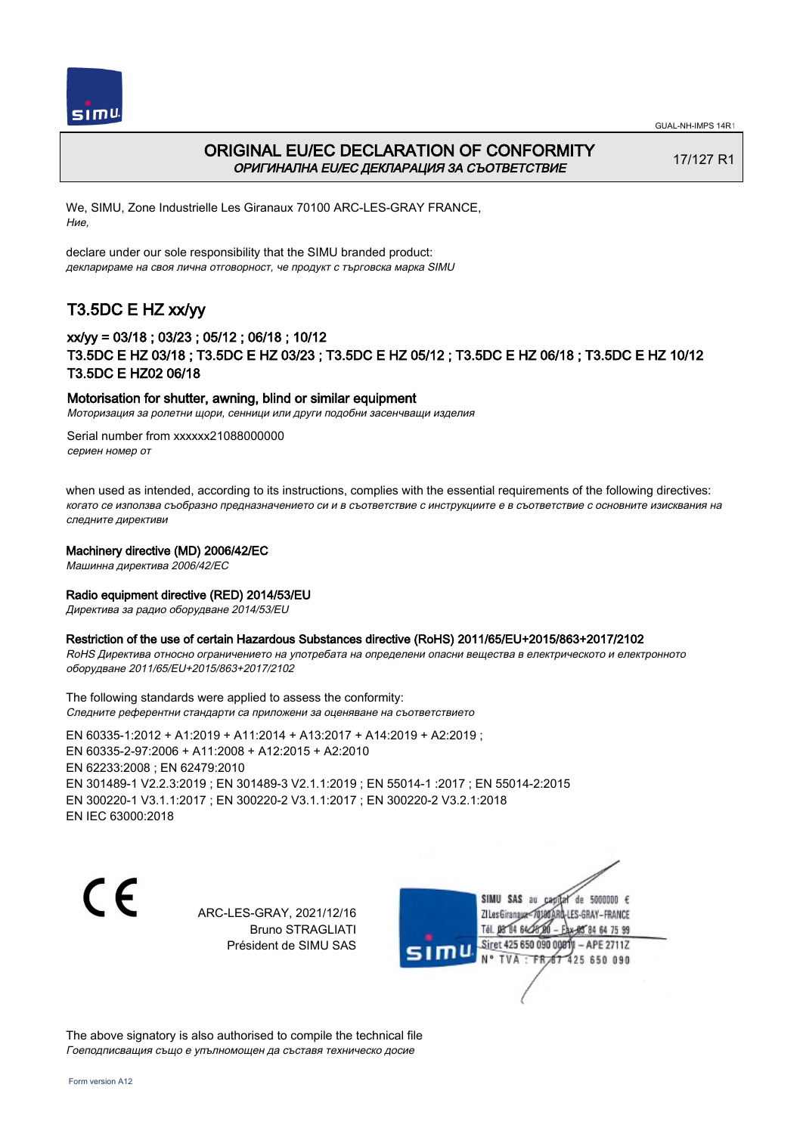



## ORIGINAL EU/EC DECLARATION OF CONFORMITY ОРИГИНАЛНА EU/EC ДЕКЛАРАЦИЯ ЗА СЪОТВЕТСТВИЕ

17/127 R1

We, SIMU, Zone Industrielle Les Giranaux 70100 ARC-LES-GRAY FRANCE, Ние,

declare under our sole responsibility that the SIMU branded product: декларираме на своя лична отговорност, че продукт с търговска марка SIMU

# T3.5DC E HZ xx/yy

## xx/yy = 03/18 ; 03/23 ; 05/12 ; 06/18 ; 10/12 T3.5DC E HZ 03/18 ; T3.5DC E HZ 03/23 ; T3.5DC E HZ 05/12 ; T3.5DC E HZ 06/18 ; T3.5DC E HZ 10/12 T3.5DC E HZ02 06/18

### Motorisation for shutter, awning, blind or similar equipment

Моторизация за ролетни щори, сенници или други подобни засенчващи изделия

Serial number from xxxxxx21088000000 сериен номер от

when used as intended, according to its instructions, complies with the essential requirements of the following directives: когато се използва съобразно предназначението си и в съответствие с инструкциите е в съответствие с основните изисквания на следните директиви

### Machinery directive (MD) 2006/42/EC

Машинна директива 2006/42/EC

### Radio equipment directive (RED) 2014/53/EU

Директива за радио оборудване 2014/53/EU

### Restriction of the use of certain Hazardous Substances directive (RoHS) 2011/65/EU+2015/863+2017/2102

RoHS Директива относно ограничението на употребата на определени опасни вещества в електрическото и електронното оборудване 2011/65/EU+2015/863+2017/2102

The following standards were applied to assess the conformity: Следните референтни стандарти са приложени за оценяване на съответствието

EN 60335‑1:2012 + A1:2019 + A11:2014 + A13:2017 + A14:2019 + A2:2019 ; EN 60335‑2‑97:2006 + A11:2008 + A12:2015 + A2:2010 EN 62233:2008 ; EN 62479:2010 EN 301489‑1 V2.2.3:2019 ; EN 301489‑3 V2.1.1:2019 ; EN 55014‑1 :2017 ; EN 55014‑2:2015 EN 300220‑1 V3.1.1:2017 ; EN 300220‑2 V3.1.1:2017 ; EN 300220‑2 V3.2.1:2018 EN IEC 63000:2018

C F

ARC-LES-GRAY, 2021/12/16 Bruno STRAGLIATI Président de SIMU SAS



The above signatory is also authorised to compile the technical file Гоеподписващия също е упълномощен да съставя техническо досие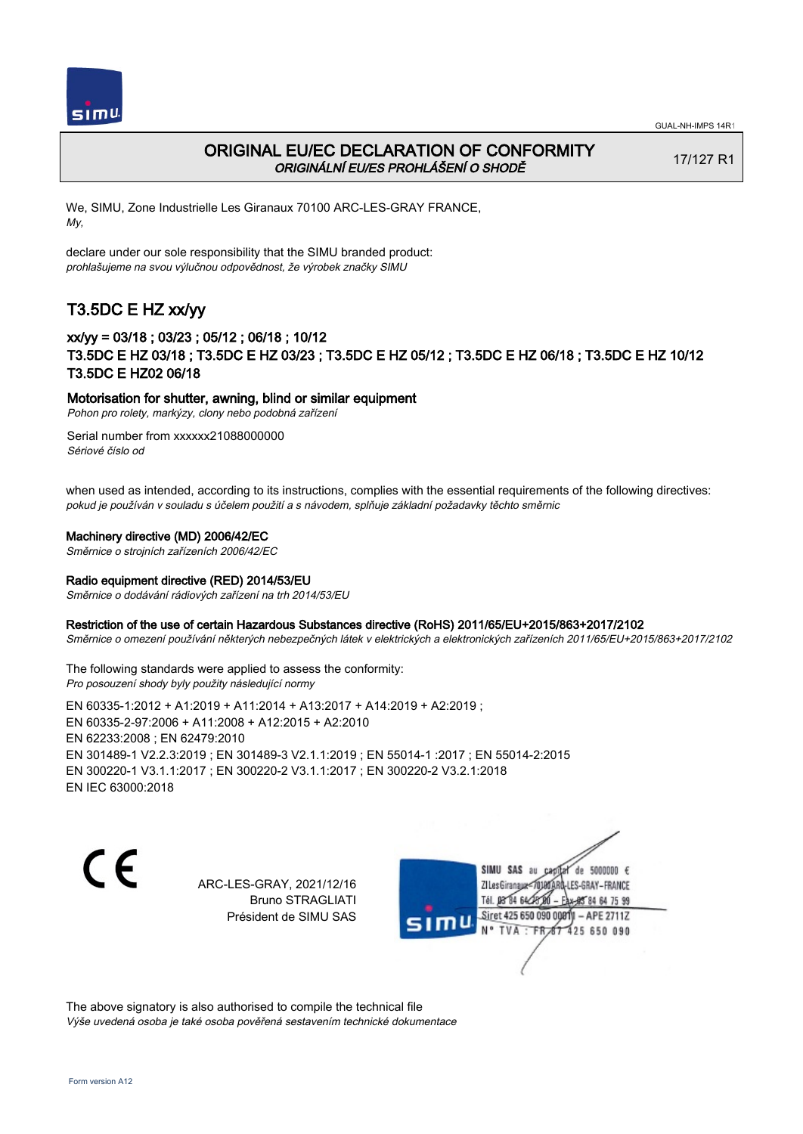



## ORIGINAL EU/EC DECLARATION OF CONFORMITY ORIGINÁLNÍ EU/ES PROHLÁŠENÍ O SHODĚ

17/127 R1

We, SIMU, Zone Industrielle Les Giranaux 70100 ARC-LES-GRAY FRANCE, My,

declare under our sole responsibility that the SIMU branded product: prohlašujeme na svou výlučnou odpovědnost, že výrobek značky SIMU

# T3.5DC E HZ xx/yy

## xx/yy = 03/18 ; 03/23 ; 05/12 ; 06/18 ; 10/12 T3.5DC E HZ 03/18 ; T3.5DC E HZ 03/23 ; T3.5DC E HZ 05/12 ; T3.5DC E HZ 06/18 ; T3.5DC E HZ 10/12 T3.5DC E HZ02 06/18

### Motorisation for shutter, awning, blind or similar equipment

Pohon pro rolety, markýzy, clony nebo podobná zařízení

Serial number from xxxxxx21088000000 Sériové číslo od

when used as intended, according to its instructions, complies with the essential requirements of the following directives: pokud je používán v souladu s účelem použití a s návodem, splňuje základní požadavky těchto směrnic

### Machinery directive (MD) 2006/42/EC

Směrnice o strojních zařízeních 2006/42/EC

### Radio equipment directive (RED) 2014/53/EU

Směrnice o dodávání rádiových zařízení na trh 2014/53/EU

### Restriction of the use of certain Hazardous Substances directive (RoHS) 2011/65/EU+2015/863+2017/2102

Směrnice o omezení používání některých nebezpečných látek v elektrických a elektronických zařízeních 2011/65/EU+2015/863+2017/2102

The following standards were applied to assess the conformity: Pro posouzení shody byly použity následující normy

EN 60335‑1:2012 + A1:2019 + A11:2014 + A13:2017 + A14:2019 + A2:2019 ; EN 60335‑2‑97:2006 + A11:2008 + A12:2015 + A2:2010 EN 62233:2008 ; EN 62479:2010 EN 301489‑1 V2.2.3:2019 ; EN 301489‑3 V2.1.1:2019 ; EN 55014‑1 :2017 ; EN 55014‑2:2015 EN 300220‑1 V3.1.1:2017 ; EN 300220‑2 V3.1.1:2017 ; EN 300220‑2 V3.2.1:2018 EN IEC 63000:2018

C E

ARC-LES-GRAY, 2021/12/16 Bruno STRAGLIATI Président de SIMU SAS



The above signatory is also authorised to compile the technical file Výše uvedená osoba je také osoba pověřená sestavením technické dokumentace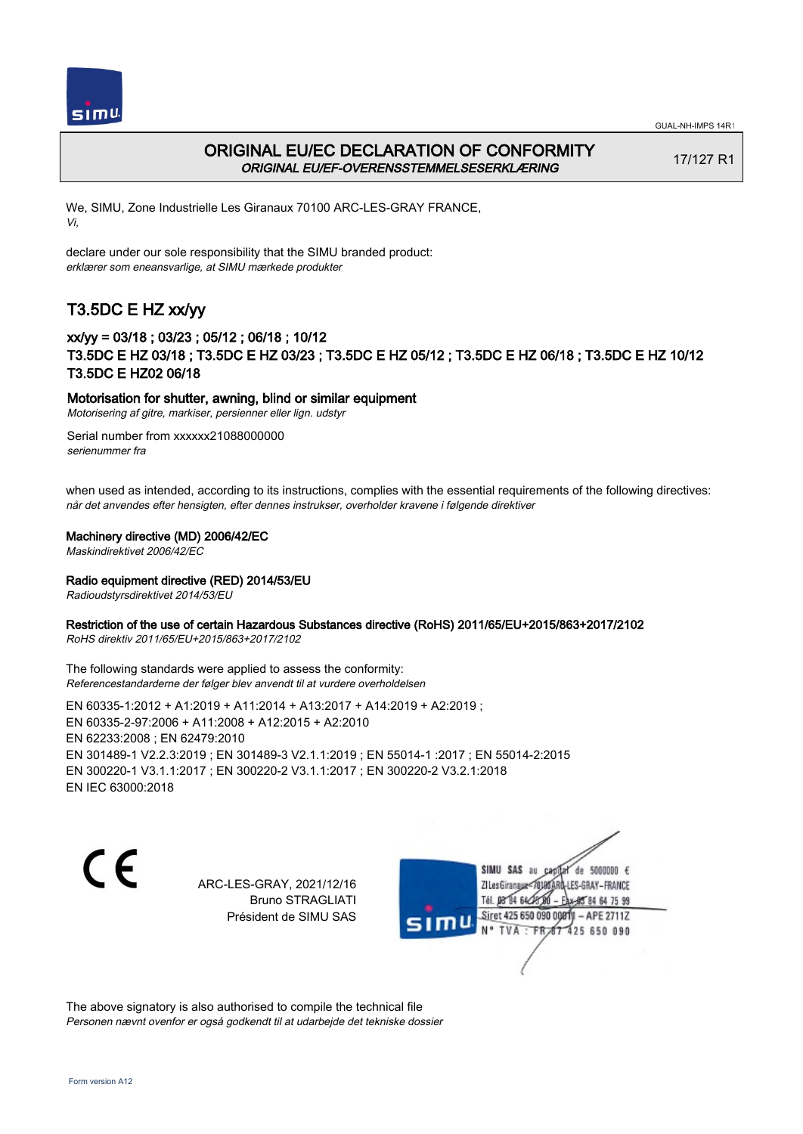



## ORIGINAL EU/EC DECLARATION OF CONFORMITY ORIGINAL EU/EF-OVERENSSTEMMELSESERKLÆRING

17/127 R1

We, SIMU, Zone Industrielle Les Giranaux 70100 ARC-LES-GRAY FRANCE, Vi,

declare under our sole responsibility that the SIMU branded product: erklærer som eneansvarlige, at SIMU mærkede produkter

## T3.5DC E HZ xx/yy

## xx/yy = 03/18 ; 03/23 ; 05/12 ; 06/18 ; 10/12 T3.5DC E HZ 03/18 ; T3.5DC E HZ 03/23 ; T3.5DC E HZ 05/12 ; T3.5DC E HZ 06/18 ; T3.5DC E HZ 10/12 T3.5DC E HZ02 06/18

### Motorisation for shutter, awning, blind or similar equipment

Motorisering af gitre, markiser, persienner eller lign. udstyr

Serial number from xxxxxx21088000000 serienummer fra

when used as intended, according to its instructions, complies with the essential requirements of the following directives: når det anvendes efter hensigten, efter dennes instrukser, overholder kravene i følgende direktiver

### Machinery directive (MD) 2006/42/EC

Maskindirektivet 2006/42/EC

### Radio equipment directive (RED) 2014/53/EU

Radioudstyrsdirektivet 2014/53/EU

### Restriction of the use of certain Hazardous Substances directive (RoHS) 2011/65/EU+2015/863+2017/2102

RoHS direktiv 2011/65/EU+2015/863+2017/2102

The following standards were applied to assess the conformity: Referencestandarderne der følger blev anvendt til at vurdere overholdelsen

EN 60335‑1:2012 + A1:2019 + A11:2014 + A13:2017 + A14:2019 + A2:2019 ; EN 60335‑2‑97:2006 + A11:2008 + A12:2015 + A2:2010 EN 62233:2008 ; EN 62479:2010 EN 301489‑1 V2.2.3:2019 ; EN 301489‑3 V2.1.1:2019 ; EN 55014‑1 :2017 ; EN 55014‑2:2015 EN 300220‑1 V3.1.1:2017 ; EN 300220‑2 V3.1.1:2017 ; EN 300220‑2 V3.2.1:2018 EN IEC 63000:2018

C E

ARC-LES-GRAY, 2021/12/16 Bruno STRAGLIATI Président de SIMU SAS

SIMU SAS au de 5000000  $\epsilon$ ZI Les Giranaux</DJ80AF -LES-GRAY-FRANCE Tél. 08 84 64 28 85 84 64 75 99 Siret 425 650 090 00811  $-$  APE 2711Z mu 425 650 090 TVA FRAT

The above signatory is also authorised to compile the technical file Personen nævnt ovenfor er også godkendt til at udarbejde det tekniske dossier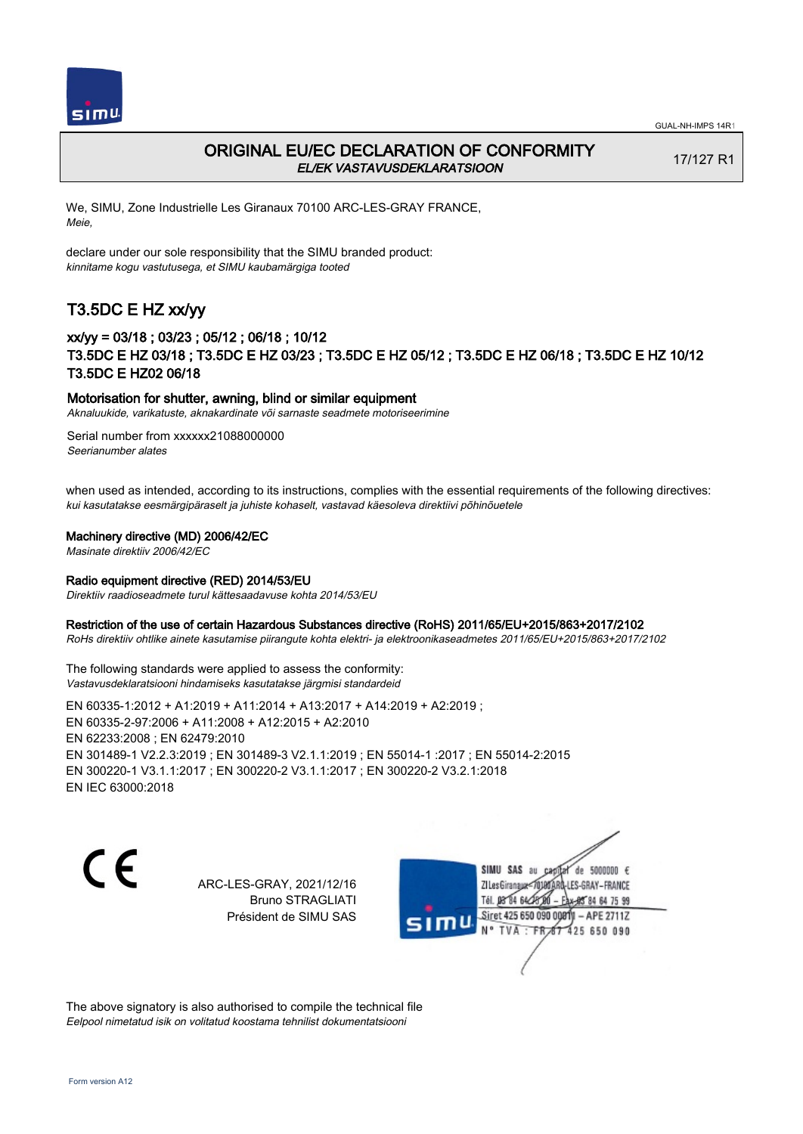



## ORIGINAL EU/EC DECLARATION OF CONFORMITY EL/EK VASTAVUSDEKLARATSIOON

17/127 R1

We, SIMU, Zone Industrielle Les Giranaux 70100 ARC-LES-GRAY FRANCE, Meie,

declare under our sole responsibility that the SIMU branded product: kinnitame kogu vastutusega, et SIMU kaubamärgiga tooted

## T3.5DC E HZ xx/yy

## xx/yy = 03/18 ; 03/23 ; 05/12 ; 06/18 ; 10/12 T3.5DC E HZ 03/18 ; T3.5DC E HZ 03/23 ; T3.5DC E HZ 05/12 ; T3.5DC E HZ 06/18 ; T3.5DC E HZ 10/12 T3.5DC E HZ02 06/18

### Motorisation for shutter, awning, blind or similar equipment

Aknaluukide, varikatuste, aknakardinate või sarnaste seadmete motoriseerimine

Serial number from xxxxxx21088000000 Seerianumber alates

when used as intended, according to its instructions, complies with the essential requirements of the following directives: kui kasutatakse eesmärgipäraselt ja juhiste kohaselt, vastavad käesoleva direktiivi põhinõuetele

### Machinery directive (MD) 2006/42/EC

Masinate direktiiv 2006/42/EC

### Radio equipment directive (RED) 2014/53/EU

Direktiiv raadioseadmete turul kättesaadavuse kohta 2014/53/EU

### Restriction of the use of certain Hazardous Substances directive (RoHS) 2011/65/EU+2015/863+2017/2102

RoHs direktiiv ohtlike ainete kasutamise piirangute kohta elektri- ja elektroonikaseadmetes 2011/65/EU+2015/863+2017/2102

The following standards were applied to assess the conformity: Vastavusdeklaratsiooni hindamiseks kasutatakse järgmisi standardeid

EN 60335‑1:2012 + A1:2019 + A11:2014 + A13:2017 + A14:2019 + A2:2019 ; EN 60335‑2‑97:2006 + A11:2008 + A12:2015 + A2:2010 EN 62233:2008 ; EN 62479:2010 EN 301489‑1 V2.2.3:2019 ; EN 301489‑3 V2.1.1:2019 ; EN 55014‑1 :2017 ; EN 55014‑2:2015 EN 300220‑1 V3.1.1:2017 ; EN 300220‑2 V3.1.1:2017 ; EN 300220‑2 V3.2.1:2018 EN IEC 63000:2018

C E

ARC-LES-GRAY, 2021/12/16 Bruno STRAGLIATI Président de SIMU SAS

SIMU SAS au de 5000000  $\epsilon$ ZI Les Giranaux</DJ80 LES-GRAY-FRANCE Tél. 08 84 64 28 84 64 75 99 Siret 425 650 090 0081  $-$  APE 2711Z mu 425 650 090 TVA · FRAT

The above signatory is also authorised to compile the technical file Eelpool nimetatud isik on volitatud koostama tehnilist dokumentatsiooni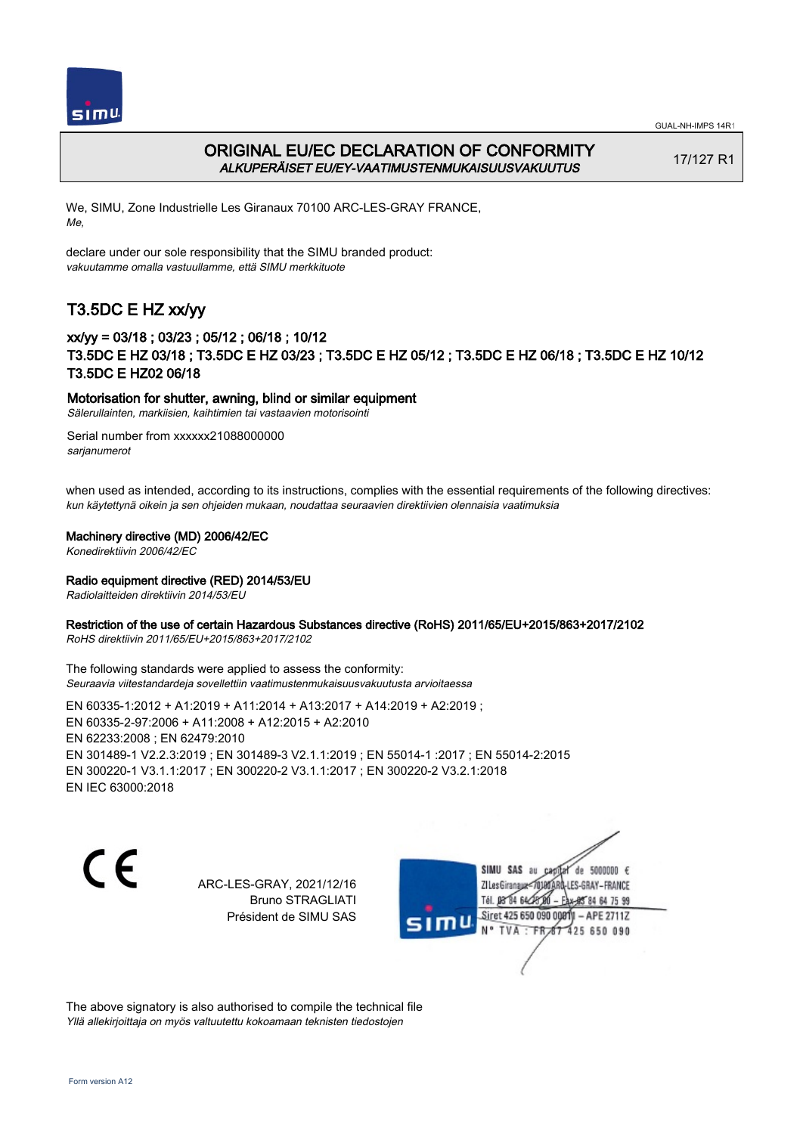



## ORIGINAL EU/EC DECLARATION OF CONFORMITY ALKUPERÄISET EU/EY-VAATIMUSTENMUKAISUUSVAKUUTUS

17/127 R1

We, SIMU, Zone Industrielle Les Giranaux 70100 ARC-LES-GRAY FRANCE, Me,

declare under our sole responsibility that the SIMU branded product: vakuutamme omalla vastuullamme, että SIMU merkkituote

# T3.5DC E HZ xx/yy

## xx/yy = 03/18 ; 03/23 ; 05/12 ; 06/18 ; 10/12 T3.5DC E HZ 03/18 ; T3.5DC E HZ 03/23 ; T3.5DC E HZ 05/12 ; T3.5DC E HZ 06/18 ; T3.5DC E HZ 10/12 T3.5DC E HZ02 06/18

### Motorisation for shutter, awning, blind or similar equipment

Sälerullainten, markiisien, kaihtimien tai vastaavien motorisointi

Serial number from xxxxxx21088000000 sarjanumerot

when used as intended, according to its instructions, complies with the essential requirements of the following directives: kun käytettynä oikein ja sen ohjeiden mukaan, noudattaa seuraavien direktiivien olennaisia vaatimuksia

### Machinery directive (MD) 2006/42/EC

Konedirektiivin 2006/42/EC

### Radio equipment directive (RED) 2014/53/EU

Radiolaitteiden direktiivin 2014/53/EU

### Restriction of the use of certain Hazardous Substances directive (RoHS) 2011/65/EU+2015/863+2017/2102

RoHS direktiivin 2011/65/EU+2015/863+2017/2102

The following standards were applied to assess the conformity: Seuraavia viitestandardeja sovellettiin vaatimustenmukaisuusvakuutusta arvioitaessa

EN 60335‑1:2012 + A1:2019 + A11:2014 + A13:2017 + A14:2019 + A2:2019 ; EN 60335‑2‑97:2006 + A11:2008 + A12:2015 + A2:2010 EN 62233:2008 ; EN 62479:2010 EN 301489‑1 V2.2.3:2019 ; EN 301489‑3 V2.1.1:2019 ; EN 55014‑1 :2017 ; EN 55014‑2:2015 EN 300220‑1 V3.1.1:2017 ; EN 300220‑2 V3.1.1:2017 ; EN 300220‑2 V3.2.1:2018 EN IEC 63000:2018

C E

ARC-LES-GRAY, 2021/12/16 Bruno STRAGLIATI Président de SIMU SAS

SIMU SAS au de 5000000  $\epsilon$ ZI Les Giranaux</DJ80AF -LES-GRAY-FRANCE Tél. 08 84 64 28 85 84 64 75 99 Siret 425 650 090 00811  $-$  APE 2711Z mu 425 650 090 TVA · FRAT

The above signatory is also authorised to compile the technical file Yllä allekirjoittaja on myös valtuutettu kokoamaan teknisten tiedostojen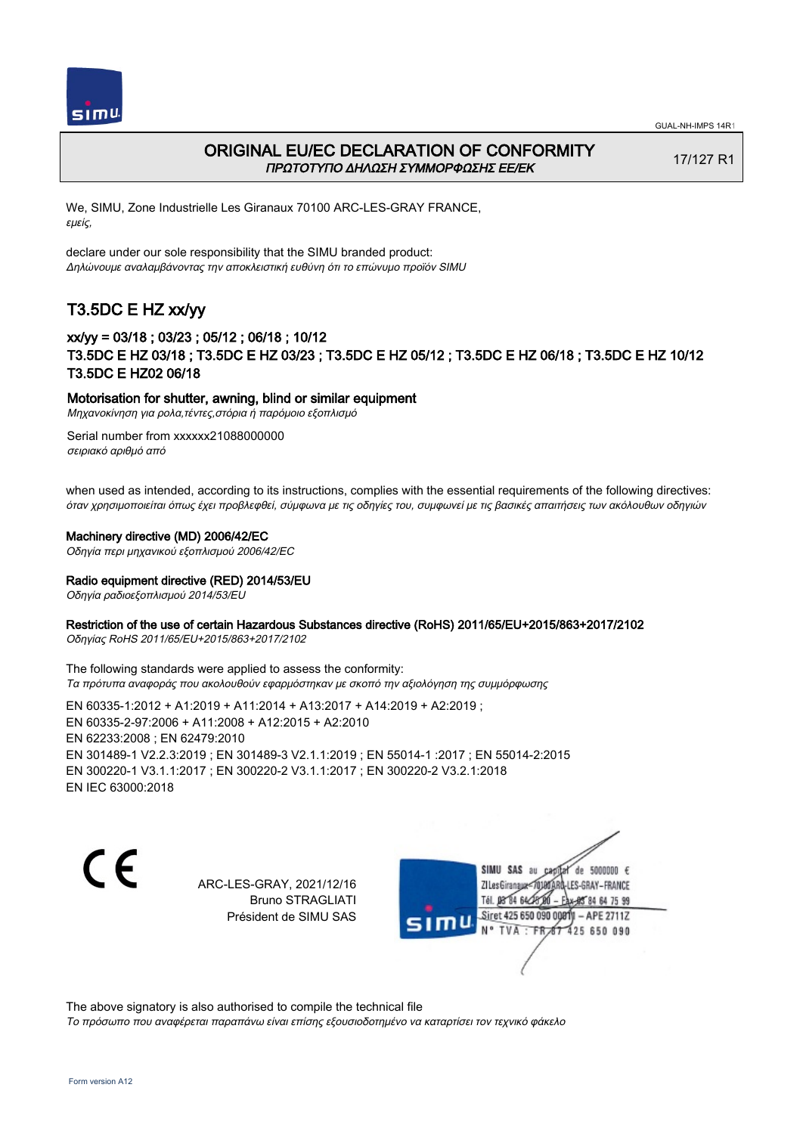



## ORIGINAL EU/EC DECLARATION OF CONFORMITY ΠΡΩΤΟΤΥΠΟ ΔΗΛΩΣΗ ΣΥΜΜΟΡΦΩΣΗΣ ΕΕ/EK

17/127 R1

We, SIMU, Zone Industrielle Les Giranaux 70100 ARC-LES-GRAY FRANCE, εμείς,

declare under our sole responsibility that the SIMU branded product: Δηλώνουμε αναλαμβάνοντας την αποκλειστική ευθύνη ότι το επώνυμο προϊόν SIMU

# T3.5DC E HZ xx/yy

## xx/yy = 03/18 ; 03/23 ; 05/12 ; 06/18 ; 10/12 T3.5DC E HZ 03/18 ; T3.5DC E HZ 03/23 ; T3.5DC E HZ 05/12 ; T3.5DC E HZ 06/18 ; T3.5DC E HZ 10/12 T3.5DC E HZ02 06/18

### Motorisation for shutter, awning, blind or similar equipment

Μηχανοκίνηση για ρολα,τέντες,στόρια ή παρόμοιο εξοπλισμό

Serial number from xxxxxx21088000000 σειριακό αριθμό από

when used as intended, according to its instructions, complies with the essential requirements of the following directives: όταν χρησιμοποιείται όπως έχει προβλεφθεί, σύμφωνα με τις οδηγίες του, συμφωνεί με τις βασικές απαιτήσεις των ακόλουθων οδηγιών

### Machinery directive (MD) 2006/42/EC

Οδηγία περι μηχανικού εξοπλισμού 2006/42/EC

### Radio equipment directive (RED) 2014/53/EU

Οδηγία ραδιοεξοπλισμού 2014/53/EU

### Restriction of the use of certain Hazardous Substances directive (RoHS) 2011/65/EU+2015/863+2017/2102

Οδηγίας RoHS 2011/65/EU+2015/863+2017/2102

The following standards were applied to assess the conformity: Τα πρότυπα αναφοράς που ακολουθούν εφαρμόστηκαν με σκοπό την αξιολόγηση της συμμόρφωσης

EN 60335‑1:2012 + A1:2019 + A11:2014 + A13:2017 + A14:2019 + A2:2019 ; EN 60335‑2‑97:2006 + A11:2008 + A12:2015 + A2:2010 EN 62233:2008 ; EN 62479:2010 EN 301489‑1 V2.2.3:2019 ; EN 301489‑3 V2.1.1:2019 ; EN 55014‑1 :2017 ; EN 55014‑2:2015 EN 300220‑1 V3.1.1:2017 ; EN 300220‑2 V3.1.1:2017 ; EN 300220‑2 V3.2.1:2018 EN IEC 63000:2018

C F

ARC-LES-GRAY, 2021/12/16 Bruno STRAGLIATI Président de SIMU SAS

SIMU SAS au  $\cosh 4$  de 5000000  $\epsilon$ ZI Les Giranaux</DJ80AR LES-GRAY-FRANCE Tél. 08 84 64 28 85 84 64 75 99 Siret 425 650 090 0081  $-$  APE 2711Z 'nЦ TVA: FR 67 425 650 090

The above signatory is also authorised to compile the technical file

Το πρόσωπο που αναφέρεται παραπάνω είναι επίσης εξουσιοδοτημένο να καταρτίσει τον τεχνικό φάκελο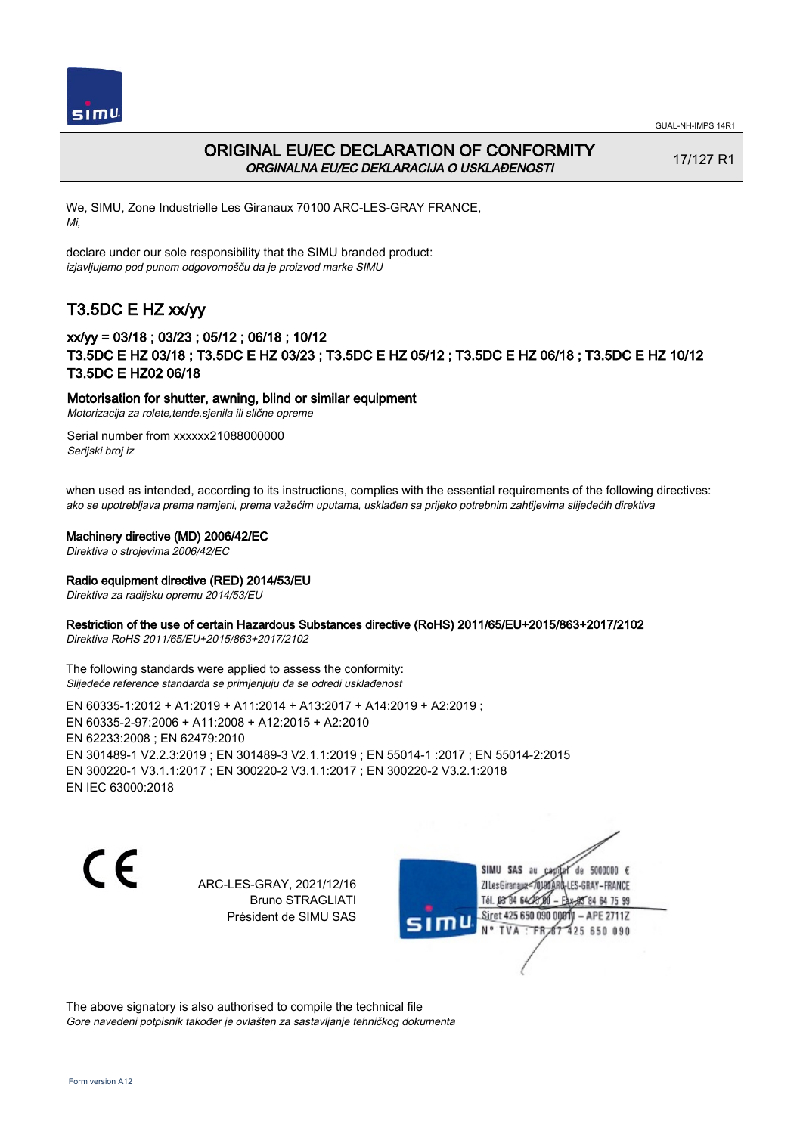



## ORIGINAL EU/EC DECLARATION OF CONFORMITY ORGINALNA EU/EC DEKLARACIJA O USKLAĐENOSTI

17/127 R1

We, SIMU, Zone Industrielle Les Giranaux 70100 ARC-LES-GRAY FRANCE, Mi,

declare under our sole responsibility that the SIMU branded product: izjavljujemo pod punom odgovornošču da je proizvod marke SIMU

# T3.5DC E HZ xx/yy

## xx/yy = 03/18 ; 03/23 ; 05/12 ; 06/18 ; 10/12 T3.5DC E HZ 03/18 ; T3.5DC E HZ 03/23 ; T3.5DC E HZ 05/12 ; T3.5DC E HZ 06/18 ; T3.5DC E HZ 10/12 T3.5DC E HZ02 06/18

### Motorisation for shutter, awning, blind or similar equipment

Motorizacija za rolete,tende,sjenila ili slične opreme

Serial number from xxxxxx21088000000 Serijski broj iz

when used as intended, according to its instructions, complies with the essential requirements of the following directives: ako se upotrebljava prema namjeni, prema važećim uputama, usklađen sa prijeko potrebnim zahtijevima slijedećih direktiva

#### Machinery directive (MD) 2006/42/EC

Direktiva o strojevima 2006/42/EC

### Radio equipment directive (RED) 2014/53/EU

Direktiva za radijsku opremu 2014/53/EU

### Restriction of the use of certain Hazardous Substances directive (RoHS) 2011/65/EU+2015/863+2017/2102

Direktiva RoHS 2011/65/EU+2015/863+2017/2102

The following standards were applied to assess the conformity: Slijedeće reference standarda se primjenjuju da se odredi usklađenost

EN 60335‑1:2012 + A1:2019 + A11:2014 + A13:2017 + A14:2019 + A2:2019 ; EN 60335‑2‑97:2006 + A11:2008 + A12:2015 + A2:2010 EN 62233:2008 ; EN 62479:2010 EN 301489‑1 V2.2.3:2019 ; EN 301489‑3 V2.1.1:2019 ; EN 55014‑1 :2017 ; EN 55014‑2:2015 EN 300220‑1 V3.1.1:2017 ; EN 300220‑2 V3.1.1:2017 ; EN 300220‑2 V3.2.1:2018 EN IEC 63000:2018

C E

ARC-LES-GRAY, 2021/12/16 Bruno STRAGLIATI Président de SIMU SAS

SIMU SAS au de 5000000  $\epsilon$ ZI Les Giranaux</DJ80AF -LES-GRAY-FRANCE Tél. 08 84 64 28 85 84 64 75 99 Siret 425 650 090 0081  $-$  APE 2711Z 'nЦ 425 650 090 TVA · FRAT

The above signatory is also authorised to compile the technical file Gore navedeni potpisnik također je ovlašten za sastavljanje tehničkog dokumenta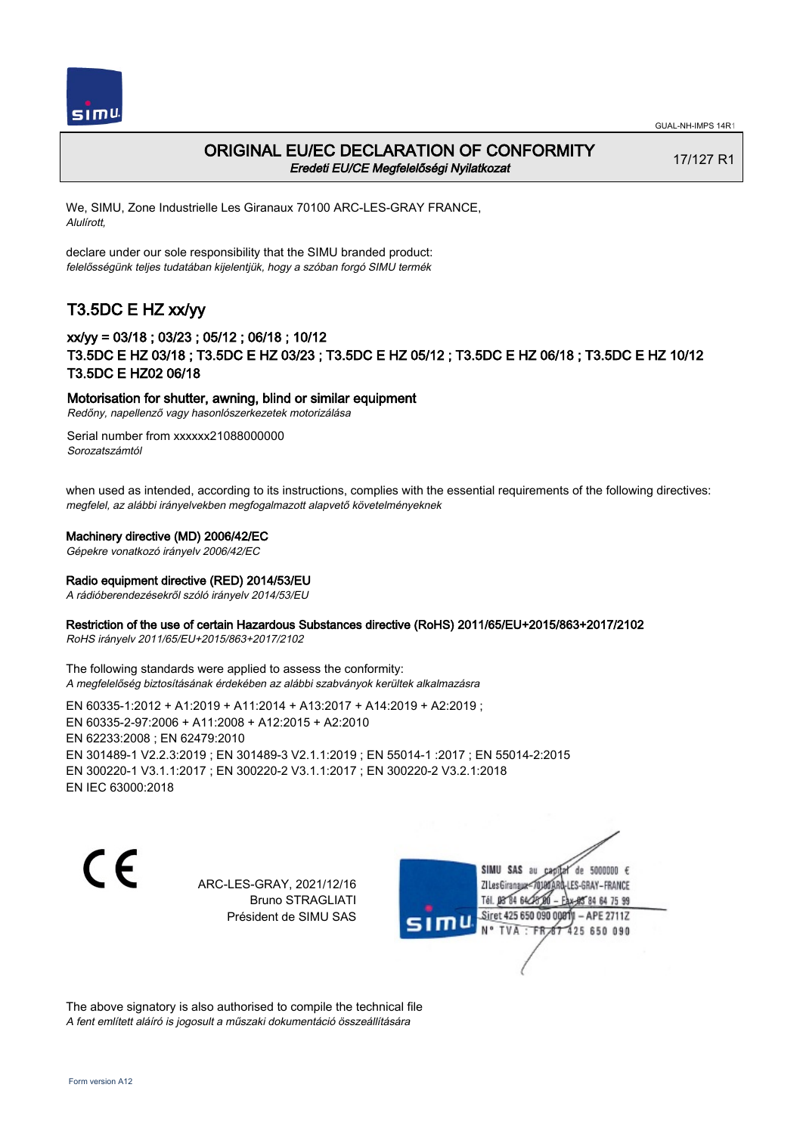



## ORIGINAL EU/EC DECLARATION OF CONFORMITY Eredeti EU/CE Megfelelőségi Nyilatkozat

17/127 R1

We, SIMU, Zone Industrielle Les Giranaux 70100 ARC-LES-GRAY FRANCE, Alulírott,

declare under our sole responsibility that the SIMU branded product: felelősségünk teljes tudatában kijelentjük, hogy a szóban forgó SIMU termék

# T3.5DC E HZ xx/yy

## xx/yy = 03/18 ; 03/23 ; 05/12 ; 06/18 ; 10/12 T3.5DC E HZ 03/18 ; T3.5DC E HZ 03/23 ; T3.5DC E HZ 05/12 ; T3.5DC E HZ 06/18 ; T3.5DC E HZ 10/12 T3.5DC E HZ02 06/18

### Motorisation for shutter, awning, blind or similar equipment

Redőny, napellenző vagy hasonlószerkezetek motorizálása

Serial number from xxxxxx21088000000 Sorozatszámtól

when used as intended, according to its instructions, complies with the essential requirements of the following directives: megfelel, az alábbi irányelvekben megfogalmazott alapvető követelményeknek

### Machinery directive (MD) 2006/42/EC

Gépekre vonatkozó irányelv 2006/42/EC

### Radio equipment directive (RED) 2014/53/EU

A rádióberendezésekről szóló irányelv 2014/53/EU

### Restriction of the use of certain Hazardous Substances directive (RoHS) 2011/65/EU+2015/863+2017/2102

RoHS irányelv 2011/65/EU+2015/863+2017/2102

The following standards were applied to assess the conformity: A megfelelőség biztosításának érdekében az alábbi szabványok kerültek alkalmazásra

EN 60335‑1:2012 + A1:2019 + A11:2014 + A13:2017 + A14:2019 + A2:2019 ; EN 60335‑2‑97:2006 + A11:2008 + A12:2015 + A2:2010 EN 62233:2008 ; EN 62479:2010 EN 301489‑1 V2.2.3:2019 ; EN 301489‑3 V2.1.1:2019 ; EN 55014‑1 :2017 ; EN 55014‑2:2015 EN 300220‑1 V3.1.1:2017 ; EN 300220‑2 V3.1.1:2017 ; EN 300220‑2 V3.2.1:2018 EN IEC 63000:2018

C E

ARC-LES-GRAY, 2021/12/16 Bruno STRAGLIATI Président de SIMU SAS

SIMU SAS au de 5000000  $\epsilon$ ZI Les Giranaux</br/>701807 -LES-GRAY-FRANCE Tél. 08 84 64 28 85 84 64 75 99 Siret 425 650 090 0081  $-$  APE 2711Z 425 650 090 TVA · FRAT

The above signatory is also authorised to compile the technical file A fent említett aláíró is jogosult a műszaki dokumentáció összeállítására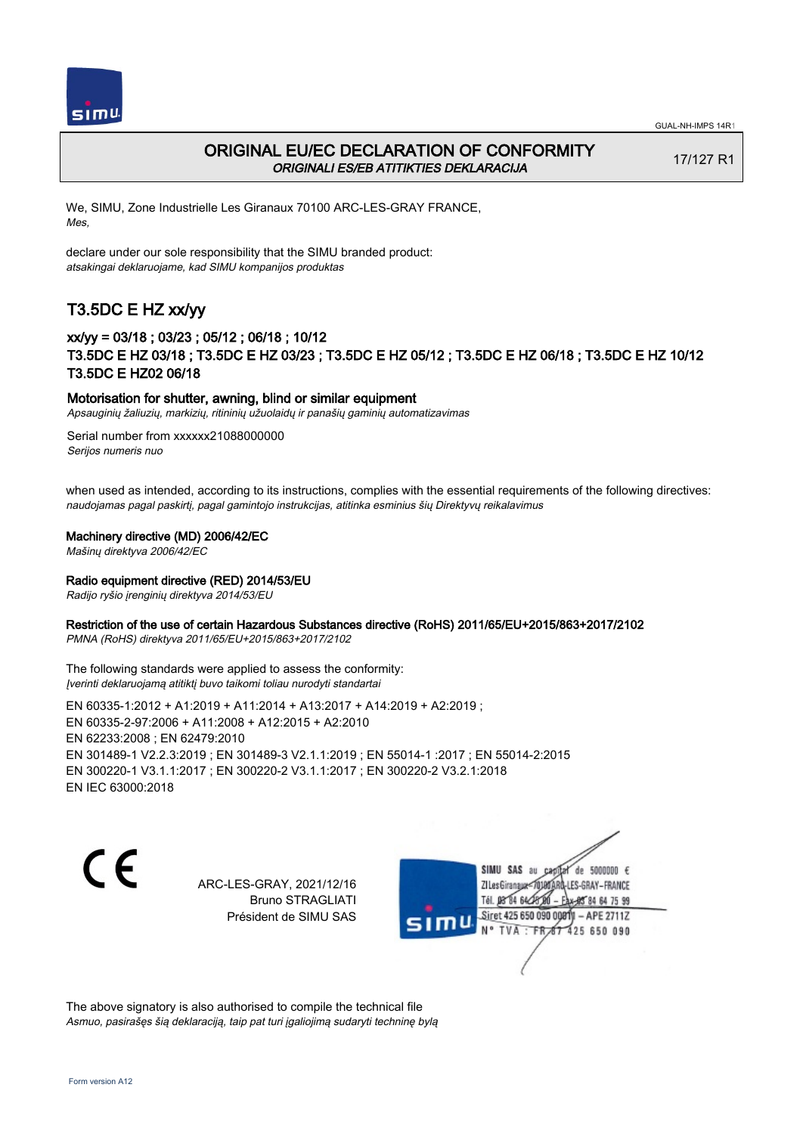



## ORIGINAL EU/EC DECLARATION OF CONFORMITY ORIGINALI ES/EB ATITIKTIES DEKLARACIJA

17/127 R1

We, SIMU, Zone Industrielle Les Giranaux 70100 ARC-LES-GRAY FRANCE, Mes,

declare under our sole responsibility that the SIMU branded product: atsakingai deklaruojame, kad SIMU kompanijos produktas

# T3.5DC E HZ xx/yy

## xx/yy = 03/18 ; 03/23 ; 05/12 ; 06/18 ; 10/12 T3.5DC E HZ 03/18 ; T3.5DC E HZ 03/23 ; T3.5DC E HZ 05/12 ; T3.5DC E HZ 06/18 ; T3.5DC E HZ 10/12 T3.5DC E HZ02 06/18

### Motorisation for shutter, awning, blind or similar equipment

Apsauginių žaliuzių, markizių, ritininių užuolaidų ir panašių gaminių automatizavimas

Serial number from xxxxxx21088000000 Serijos numeris nuo

when used as intended, according to its instructions, complies with the essential requirements of the following directives: naudojamas pagal paskirtį, pagal gamintojo instrukcijas, atitinka esminius šių Direktyvų reikalavimus

### Machinery directive (MD) 2006/42/EC

Mašinų direktyva 2006/42/EC

### Radio equipment directive (RED) 2014/53/EU

Radijo ryšio įrenginių direktyva 2014/53/EU

### Restriction of the use of certain Hazardous Substances directive (RoHS) 2011/65/EU+2015/863+2017/2102

PMNA (RoHS) direktyva 2011/65/EU+2015/863+2017/2102

The following standards were applied to assess the conformity: Įverinti deklaruojamą atitiktį buvo taikomi toliau nurodyti standartai

EN 60335‑1:2012 + A1:2019 + A11:2014 + A13:2017 + A14:2019 + A2:2019 ; EN 60335‑2‑97:2006 + A11:2008 + A12:2015 + A2:2010 EN 62233:2008 ; EN 62479:2010 EN 301489‑1 V2.2.3:2019 ; EN 301489‑3 V2.1.1:2019 ; EN 55014‑1 :2017 ; EN 55014‑2:2015 EN 300220‑1 V3.1.1:2017 ; EN 300220‑2 V3.1.1:2017 ; EN 300220‑2 V3.2.1:2018 EN IEC 63000:2018

C E

ARC-LES-GRAY, 2021/12/16 Bruno STRAGLIATI Président de SIMU SAS

SIMU SAS au de 5000000  $\epsilon$ capital ZI Les Giranaux</DJ80AR LES-GRAY-FRANCE Tél. 08 84 64 28 85 84 64 75 99 Siret 425 650 090 00811  $-$  APE 2711Z mu TVA: FR 67 425 650 090

The above signatory is also authorised to compile the technical file Asmuo, pasirašęs šią deklaraciją, taip pat turi įgaliojimą sudaryti techninę bylą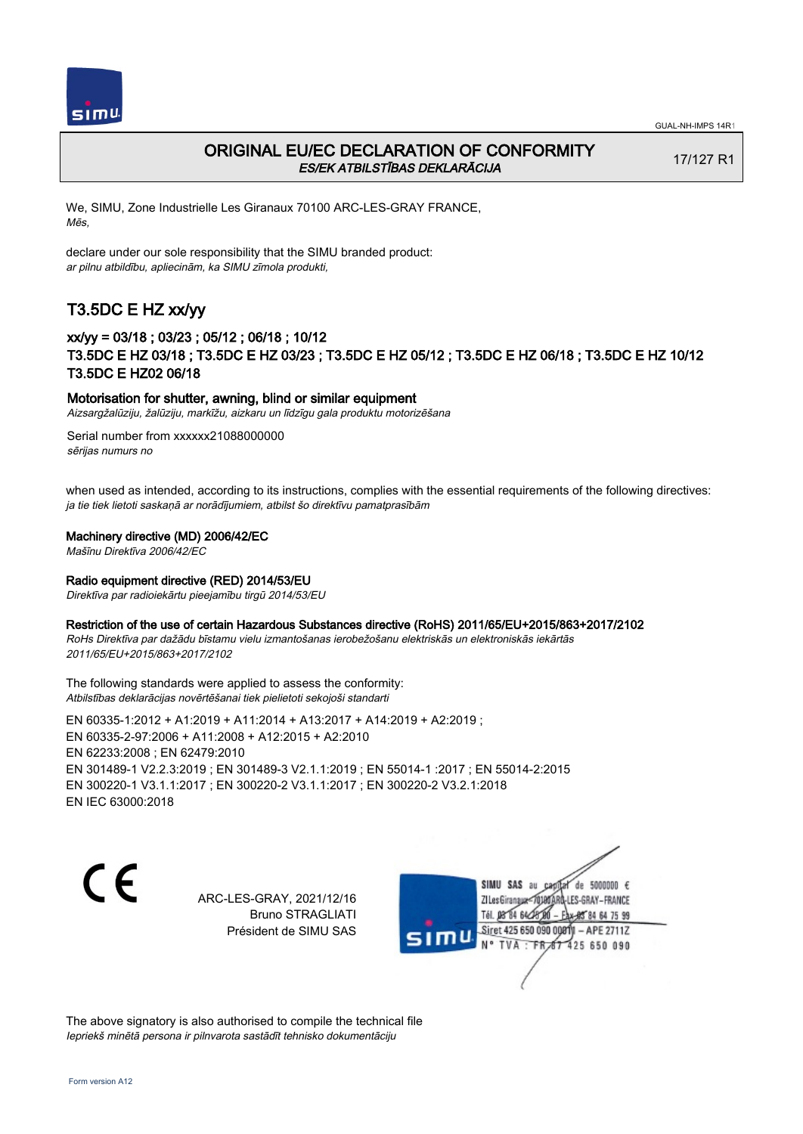

## ORIGINAL EU/EC DECLARATION OF CONFORMITY ES/EK ATBILSTĪBAS DEKLARĀCIJA

17/127 R1

We, SIMU, Zone Industrielle Les Giranaux 70100 ARC-LES-GRAY FRANCE, Mēs,

declare under our sole responsibility that the SIMU branded product: ar pilnu atbildību, apliecinām, ka SIMU zīmola produkti,

## T3.5DC E HZ xx/yy

## xx/yy = 03/18 ; 03/23 ; 05/12 ; 06/18 ; 10/12 T3.5DC E HZ 03/18 ; T3.5DC E HZ 03/23 ; T3.5DC E HZ 05/12 ; T3.5DC E HZ 06/18 ; T3.5DC E HZ 10/12 T3.5DC E HZ02 06/18

### Motorisation for shutter, awning, blind or similar equipment

Aizsargžalūziju, žalūziju, markīžu, aizkaru un līdzīgu gala produktu motorizēšana

Serial number from xxxxxx21088000000 sērijas numurs no

when used as intended, according to its instructions, complies with the essential requirements of the following directives: ja tie tiek lietoti saskaņā ar norādījumiem, atbilst šo direktīvu pamatprasībām

### Machinery directive (MD) 2006/42/EC

Mašīnu Direktīva 2006/42/EC

### Radio equipment directive (RED) 2014/53/EU

Direktīva par radioiekārtu pieejamību tirgū 2014/53/EU

#### Restriction of the use of certain Hazardous Substances directive (RoHS) 2011/65/EU+2015/863+2017/2102

RoHs Direktīva par dažādu bīstamu vielu izmantošanas ierobežošanu elektriskās un elektroniskās iekārtās 2011/65/EU+2015/863+2017/2102

The following standards were applied to assess the conformity: Atbilstības deklarācijas novērtēšanai tiek pielietoti sekojoši standarti

EN 60335‑1:2012 + A1:2019 + A11:2014 + A13:2017 + A14:2019 + A2:2019 ; EN 60335‑2‑97:2006 + A11:2008 + A12:2015 + A2:2010 EN 62233:2008 ; EN 62479:2010 EN 301489‑1 V2.2.3:2019 ; EN 301489‑3 V2.1.1:2019 ; EN 55014‑1 :2017 ; EN 55014‑2:2015 EN 300220‑1 V3.1.1:2017 ; EN 300220‑2 V3.1.1:2017 ; EN 300220‑2 V3.2.1:2018 EN IEC 63000:2018

 $\epsilon$ 

ARC-LES-GRAY, 2021/12/16 Bruno STRAGLIATI Président de SIMU SAS



The above signatory is also authorised to compile the technical file Iepriekš minētā persona ir pilnvarota sastādīt tehnisko dokumentāciju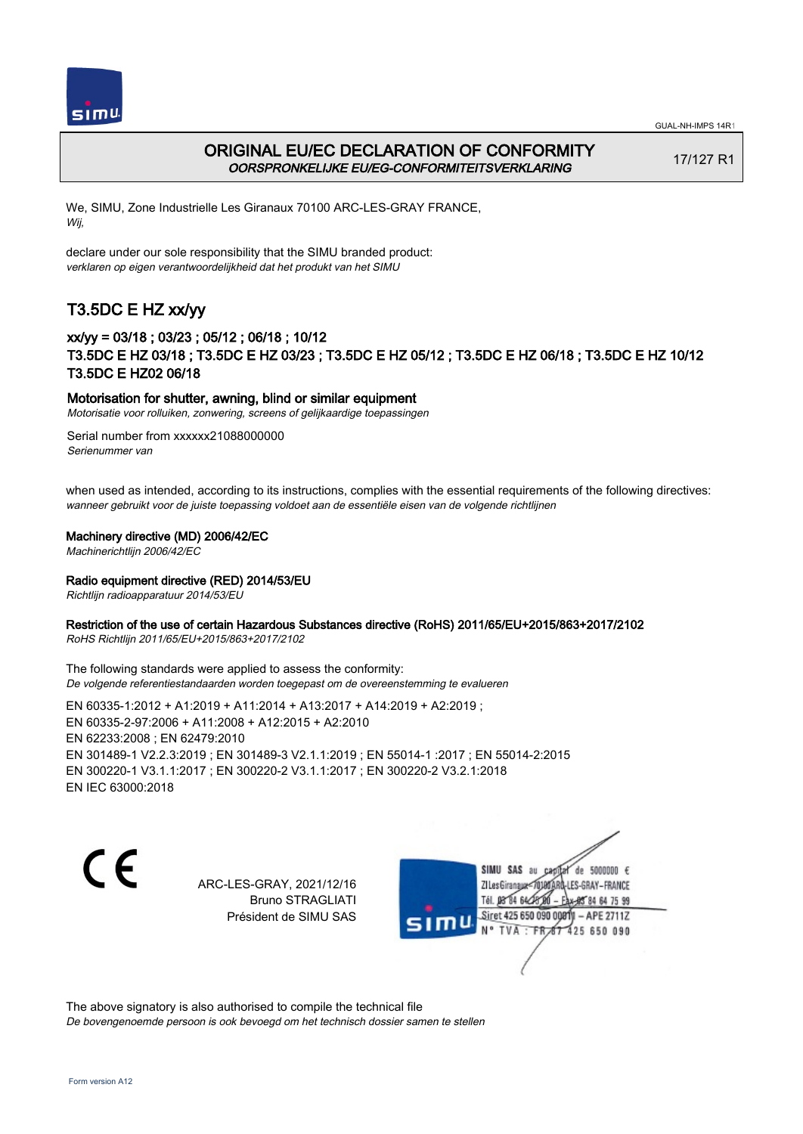



## ORIGINAL EU/EC DECLARATION OF CONFORMITY OORSPRONKELIJKE EU/EG-CONFORMITEITSVERKLARING

17/127 R1

We, SIMU, Zone Industrielle Les Giranaux 70100 ARC-LES-GRAY FRANCE, Wij,

declare under our sole responsibility that the SIMU branded product: verklaren op eigen verantwoordelijkheid dat het produkt van het SIMU

# T3.5DC E HZ xx/yy

## xx/yy = 03/18 ; 03/23 ; 05/12 ; 06/18 ; 10/12 T3.5DC E HZ 03/18 ; T3.5DC E HZ 03/23 ; T3.5DC E HZ 05/12 ; T3.5DC E HZ 06/18 ; T3.5DC E HZ 10/12 T3.5DC E HZ02 06/18

### Motorisation for shutter, awning, blind or similar equipment

Motorisatie voor rolluiken, zonwering, screens of gelijkaardige toepassingen

Serial number from xxxxxx21088000000 Serienummer van

when used as intended, according to its instructions, complies with the essential requirements of the following directives: wanneer gebruikt voor de juiste toepassing voldoet aan de essentiële eisen van de volgende richtlijnen

### Machinery directive (MD) 2006/42/EC

Machinerichtlijn 2006/42/EC

### Radio equipment directive (RED) 2014/53/EU

Richtlijn radioapparatuur 2014/53/EU

### Restriction of the use of certain Hazardous Substances directive (RoHS) 2011/65/EU+2015/863+2017/2102

RoHS Richtlijn 2011/65/EU+2015/863+2017/2102

The following standards were applied to assess the conformity: De volgende referentiestandaarden worden toegepast om de overeenstemming te evalueren

EN 60335‑1:2012 + A1:2019 + A11:2014 + A13:2017 + A14:2019 + A2:2019 ; EN 60335‑2‑97:2006 + A11:2008 + A12:2015 + A2:2010 EN 62233:2008 ; EN 62479:2010 EN 301489‑1 V2.2.3:2019 ; EN 301489‑3 V2.1.1:2019 ; EN 55014‑1 :2017 ; EN 55014‑2:2015 EN 300220‑1 V3.1.1:2017 ; EN 300220‑2 V3.1.1:2017 ; EN 300220‑2 V3.2.1:2018 EN IEC 63000:2018

C E

ARC-LES-GRAY, 2021/12/16 Bruno STRAGLIATI Président de SIMU SAS

SIMU SAS au de 5000000  $\epsilon$ ZI Les Giranaux</br/>701807 -LES-GRAY-FRANCE Tél. 08 84 64 28 85 84 64 75 99 Siret 425 650 090 0081  $-$  APE 2711Z 425 650 090 TVA · FRAT

The above signatory is also authorised to compile the technical file De bovengenoemde persoon is ook bevoegd om het technisch dossier samen te stellen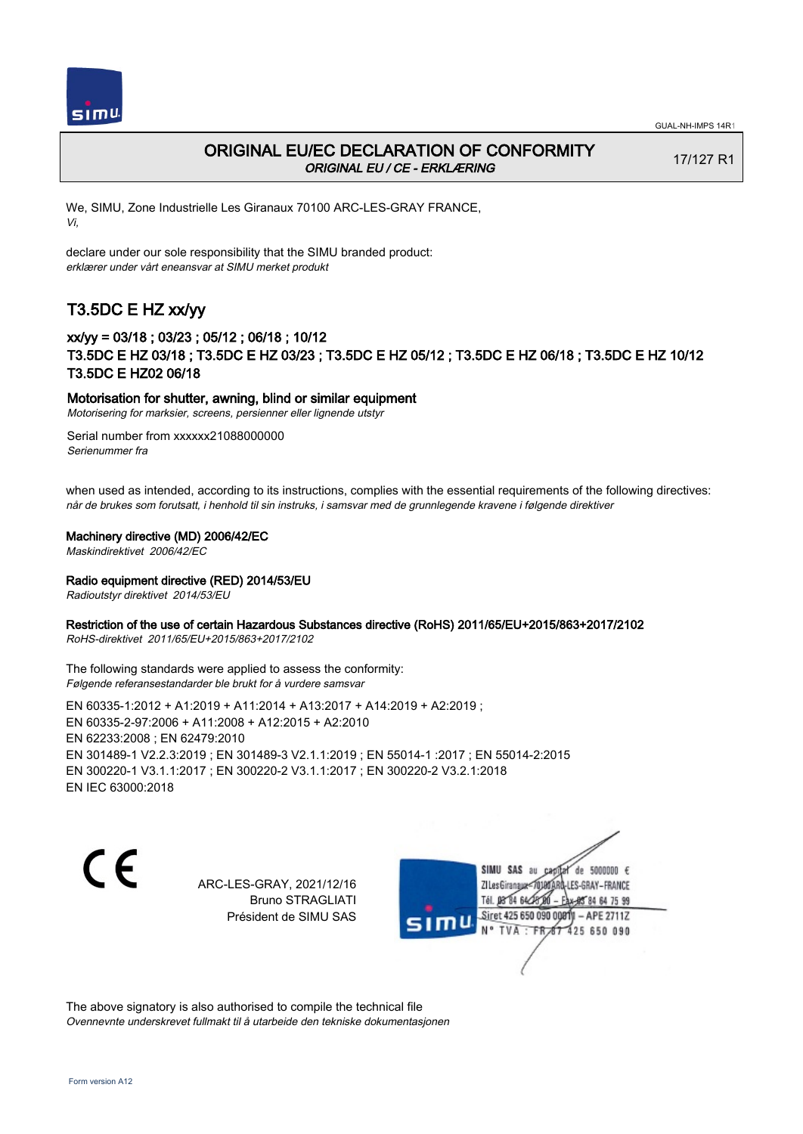

## ORIGINAL EU/EC DECLARATION OF CONFORMITY ORIGINAL EU / CE - ERKLÆRING

17/127 R1

We, SIMU, Zone Industrielle Les Giranaux 70100 ARC-LES-GRAY FRANCE, Vi,

declare under our sole responsibility that the SIMU branded product: erklærer under vårt eneansvar at SIMU merket produkt

# T3.5DC E HZ xx/yy

## xx/yy = 03/18 ; 03/23 ; 05/12 ; 06/18 ; 10/12 T3.5DC E HZ 03/18 ; T3.5DC E HZ 03/23 ; T3.5DC E HZ 05/12 ; T3.5DC E HZ 06/18 ; T3.5DC E HZ 10/12 T3.5DC E HZ02 06/18

### Motorisation for shutter, awning, blind or similar equipment

Motorisering for marksier, screens, persienner eller lignende utstyr

Serial number from xxxxxx21088000000 Serienummer fra

when used as intended, according to its instructions, complies with the essential requirements of the following directives: når de brukes som forutsatt, i henhold til sin instruks, i samsvar med de grunnlegende kravene i følgende direktiver

### Machinery directive (MD) 2006/42/EC

Maskindirektivet 2006/42/EC

### Radio equipment directive (RED) 2014/53/EU

Radioutstyr direktivet 2014/53/EU

### Restriction of the use of certain Hazardous Substances directive (RoHS) 2011/65/EU+2015/863+2017/2102

RoHS-direktivet 2011/65/EU+2015/863+2017/2102

The following standards were applied to assess the conformity: Følgende referansestandarder ble brukt for å vurdere samsvar

EN 60335‑1:2012 + A1:2019 + A11:2014 + A13:2017 + A14:2019 + A2:2019 ; EN 60335‑2‑97:2006 + A11:2008 + A12:2015 + A2:2010 EN 62233:2008 ; EN 62479:2010 EN 301489‑1 V2.2.3:2019 ; EN 301489‑3 V2.1.1:2019 ; EN 55014‑1 :2017 ; EN 55014‑2:2015 EN 300220‑1 V3.1.1:2017 ; EN 300220‑2 V3.1.1:2017 ; EN 300220‑2 V3.2.1:2018 EN IEC 63000:2018

C E

ARC-LES-GRAY, 2021/12/16 Bruno STRAGLIATI Président de SIMU SAS

SIMU SAS au de 5000000  $\epsilon$ ZI Les Giranaux</DJ80AR -LES-GRAY-FRANCE Tél. 08 84 64 28 85 84 64 75 99 Siret 425 650 090 00811  $-$  APE 2711Z mu 425 650 090 TVA · FRAT

The above signatory is also authorised to compile the technical file Ovennevnte underskrevet fullmakt til å utarbeide den tekniske dokumentasjonen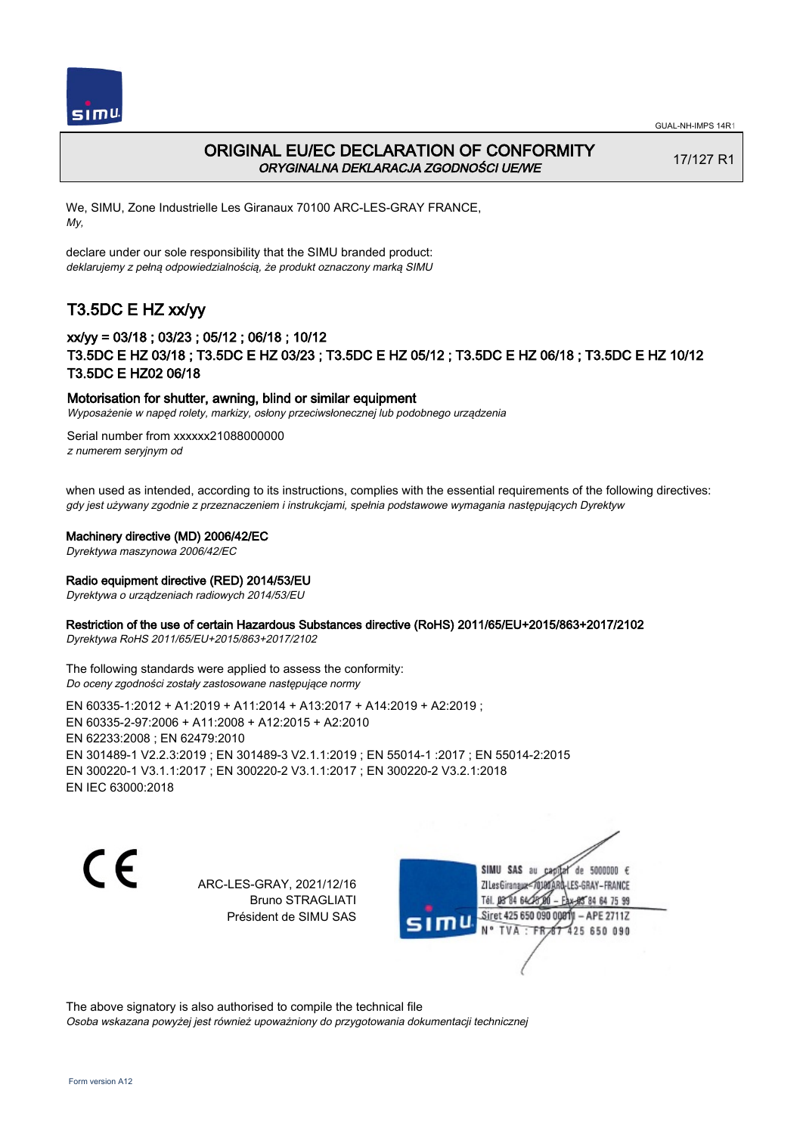



## ORIGINAL EU/EC DECLARATION OF CONFORMITY ORYGINALNA DEKLARACJA ZGODNOŚCI UE/WE

17/127 R1

We, SIMU, Zone Industrielle Les Giranaux 70100 ARC-LES-GRAY FRANCE, My,

declare under our sole responsibility that the SIMU branded product: deklarujemy z pełną odpowiedzialnością, że produkt oznaczony marką SIMU

# T3.5DC E HZ xx/yy

## xx/yy = 03/18 ; 03/23 ; 05/12 ; 06/18 ; 10/12 T3.5DC E HZ 03/18 ; T3.5DC E HZ 03/23 ; T3.5DC E HZ 05/12 ; T3.5DC E HZ 06/18 ; T3.5DC E HZ 10/12 T3.5DC E HZ02 06/18

### Motorisation for shutter, awning, blind or similar equipment

Wyposażenie w napęd rolety, markizy, osłony przeciwsłonecznej lub podobnego urządzenia

Serial number from xxxxxx21088000000 z numerem seryjnym od

when used as intended, according to its instructions, complies with the essential requirements of the following directives: gdy jest używany zgodnie z przeznaczeniem i instrukcjami, spełnia podstawowe wymagania następujących Dyrektyw

### Machinery directive (MD) 2006/42/EC

Dyrektywa maszynowa 2006/42/EC

### Radio equipment directive (RED) 2014/53/EU

Dyrektywa o urządzeniach radiowych 2014/53/EU

### Restriction of the use of certain Hazardous Substances directive (RoHS) 2011/65/EU+2015/863+2017/2102

Dyrektywa RoHS 2011/65/EU+2015/863+2017/2102

The following standards were applied to assess the conformity: Do oceny zgodności zostały zastosowane następujące normy

EN 60335‑1:2012 + A1:2019 + A11:2014 + A13:2017 + A14:2019 + A2:2019 ; EN 60335‑2‑97:2006 + A11:2008 + A12:2015 + A2:2010 EN 62233:2008 ; EN 62479:2010 EN 301489‑1 V2.2.3:2019 ; EN 301489‑3 V2.1.1:2019 ; EN 55014‑1 :2017 ; EN 55014‑2:2015 EN 300220‑1 V3.1.1:2017 ; EN 300220‑2 V3.1.1:2017 ; EN 300220‑2 V3.2.1:2018 EN IEC 63000:2018

C E

ARC-LES-GRAY, 2021/12/16 Bruno STRAGLIATI Président de SIMU SAS

SIMU SAS au de 5000000  $\epsilon$ capital ZI Les Giranaux</DJ80AR -LES-GRAY-FRANCE Tél. 08 84 64 28 85 84 64 75 99 Siret 425 650 090 0081  $-$  APE 2711Z 'nЦ 425 650 090 TVA FRAT

The above signatory is also authorised to compile the technical file Osoba wskazana powyżej jest również upoważniony do przygotowania dokumentacji technicznej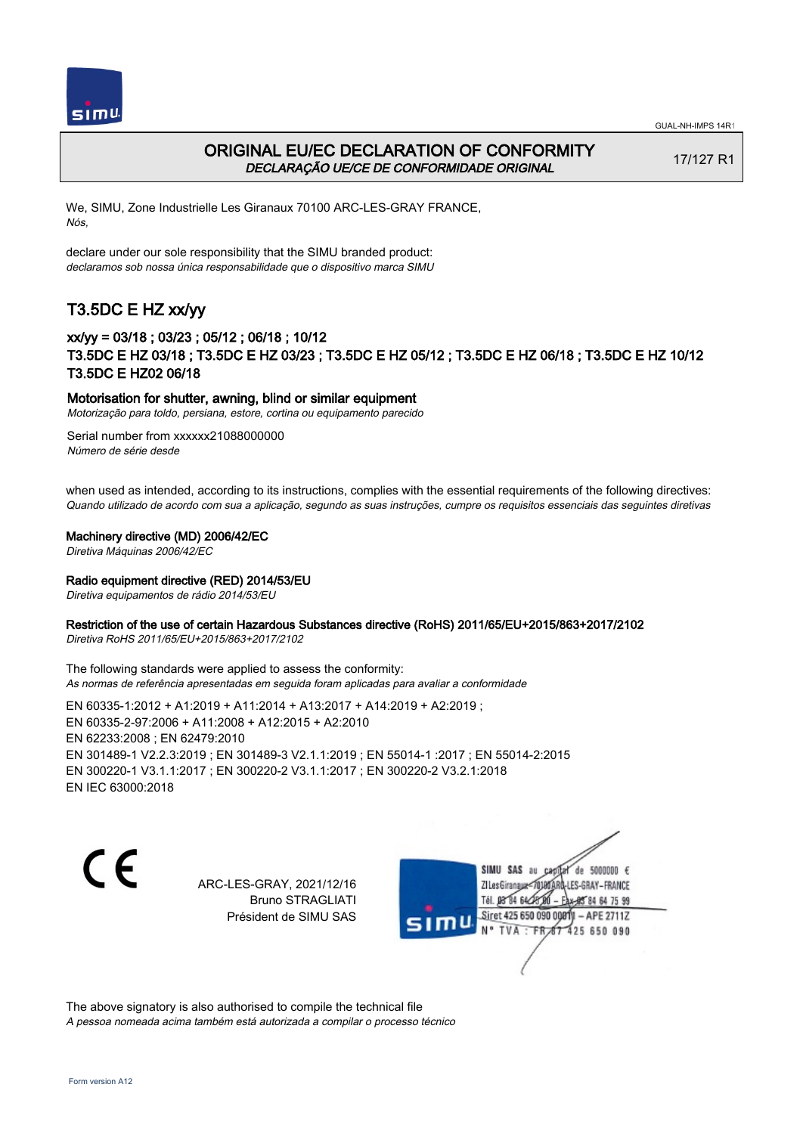



## ORIGINAL EU/EC DECLARATION OF CONFORMITY DECLARAÇÃO UE/CE DE CONFORMIDADE ORIGINAL

17/127 R1

We, SIMU, Zone Industrielle Les Giranaux 70100 ARC-LES-GRAY FRANCE, Nós,

declare under our sole responsibility that the SIMU branded product: declaramos sob nossa única responsabilidade que o dispositivo marca SIMU

## T3.5DC E HZ xx/yy

## xx/yy = 03/18 ; 03/23 ; 05/12 ; 06/18 ; 10/12 T3.5DC E HZ 03/18 ; T3.5DC E HZ 03/23 ; T3.5DC E HZ 05/12 ; T3.5DC E HZ 06/18 ; T3.5DC E HZ 10/12 T3.5DC E HZ02 06/18

### Motorisation for shutter, awning, blind or similar equipment

Motorização para toldo, persiana, estore, cortina ou equipamento parecido

Serial number from xxxxxx21088000000 Número de série desde

when used as intended, according to its instructions, complies with the essential requirements of the following directives: Quando utilizado de acordo com sua a aplicação, segundo as suas instruções, cumpre os requisitos essenciais das seguintes diretivas

### Machinery directive (MD) 2006/42/EC

Diretiva Máquinas 2006/42/EC

### Radio equipment directive (RED) 2014/53/EU

Diretiva equipamentos de rádio 2014/53/EU

### Restriction of the use of certain Hazardous Substances directive (RoHS) 2011/65/EU+2015/863+2017/2102

Diretiva RoHS 2011/65/EU+2015/863+2017/2102

The following standards were applied to assess the conformity: As normas de referência apresentadas em seguida foram aplicadas para avaliar a conformidade

EN 60335‑1:2012 + A1:2019 + A11:2014 + A13:2017 + A14:2019 + A2:2019 ; EN 60335‑2‑97:2006 + A11:2008 + A12:2015 + A2:2010 EN 62233:2008 ; EN 62479:2010 EN 301489‑1 V2.2.3:2019 ; EN 301489‑3 V2.1.1:2019 ; EN 55014‑1 :2017 ; EN 55014‑2:2015 EN 300220‑1 V3.1.1:2017 ; EN 300220‑2 V3.1.1:2017 ; EN 300220‑2 V3.2.1:2018 EN IEC 63000:2018

C E

ARC-LES-GRAY, 2021/12/16 Bruno STRAGLIATI Président de SIMU SAS

SIMU SAS au de 5000000  $\epsilon$ ZI Les Giranaux</DJ80 -LES-GRAY-FRANCE Tél. 08 84 64 28 84 64 75 99 Siret 425 650 090 0081  $-$  APE 2711Z TVA · FRAT 425 650 090

The above signatory is also authorised to compile the technical file A pessoa nomeada acima também está autorizada a compilar o processo técnico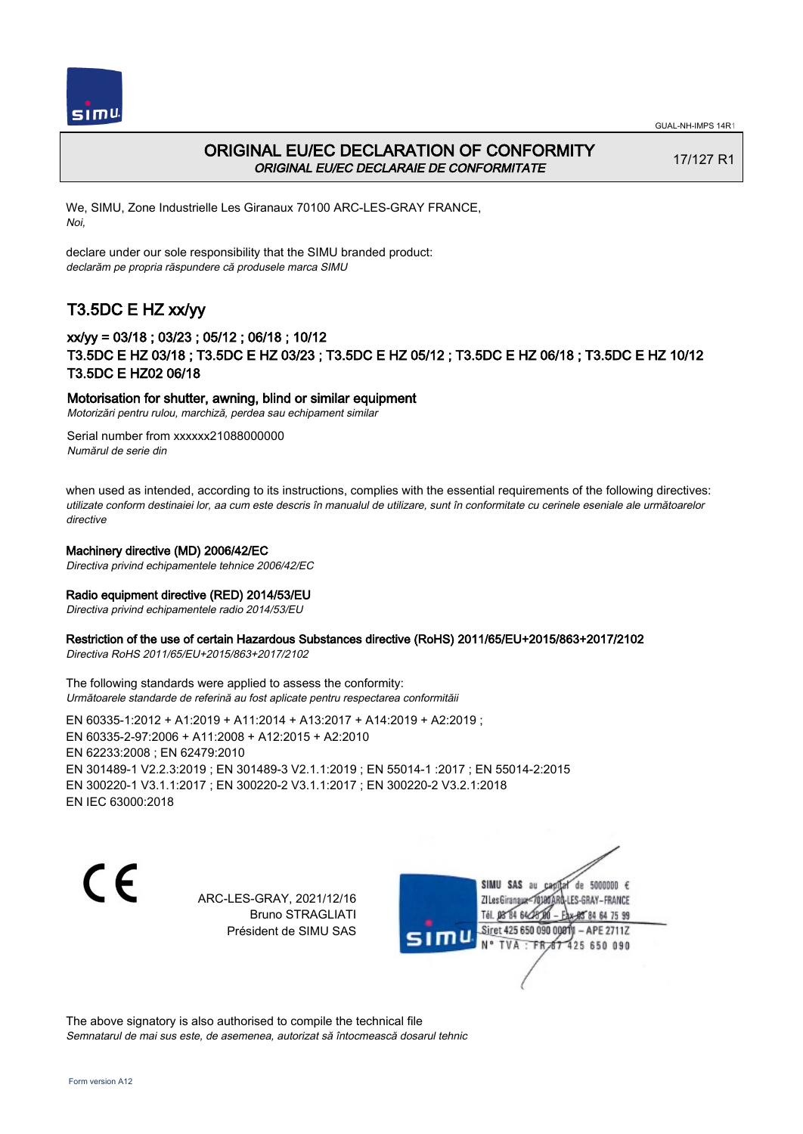



## ORIGINAL EU/EC DECLARATION OF CONFORMITY ORIGINAL EU/EC DECLARAIE DE CONFORMITATE

17/127 R1

We, SIMU, Zone Industrielle Les Giranaux 70100 ARC-LES-GRAY FRANCE, Noi,

declare under our sole responsibility that the SIMU branded product: declarăm pe propria răspundere că produsele marca SIMU

# T3.5DC E HZ xx/yy

## xx/yy = 03/18 ; 03/23 ; 05/12 ; 06/18 ; 10/12 T3.5DC E HZ 03/18 ; T3.5DC E HZ 03/23 ; T3.5DC E HZ 05/12 ; T3.5DC E HZ 06/18 ; T3.5DC E HZ 10/12 T3.5DC E HZ02 06/18

### Motorisation for shutter, awning, blind or similar equipment

Motorizări pentru rulou, marchiză, perdea sau echipament similar

Serial number from xxxxxx21088000000 Numărul de serie din

when used as intended, according to its instructions, complies with the essential requirements of the following directives: utilizate conform destinaiei lor, aa cum este descris în manualul de utilizare, sunt în conformitate cu cerinele eseniale ale următoarelor directive

### Machinery directive (MD) 2006/42/EC

Directiva privind echipamentele tehnice 2006/42/EC

### Radio equipment directive (RED) 2014/53/EU

Directiva privind echipamentele radio 2014/53/EU

### Restriction of the use of certain Hazardous Substances directive (RoHS) 2011/65/EU+2015/863+2017/2102

Directiva RoHS 2011/65/EU+2015/863+2017/2102

The following standards were applied to assess the conformity: Următoarele standarde de referină au fost aplicate pentru respectarea conformităii

EN 60335‑1:2012 + A1:2019 + A11:2014 + A13:2017 + A14:2019 + A2:2019 ; EN 60335‑2‑97:2006 + A11:2008 + A12:2015 + A2:2010 EN 62233:2008 ; EN 62479:2010 EN 301489‑1 V2.2.3:2019 ; EN 301489‑3 V2.1.1:2019 ; EN 55014‑1 :2017 ; EN 55014‑2:2015 EN 300220‑1 V3.1.1:2017 ; EN 300220‑2 V3.1.1:2017 ; EN 300220‑2 V3.2.1:2018 EN IEC 63000:2018

 $\epsilon$ 

ARC-LES-GRAY, 2021/12/16 Bruno STRAGLIATI Président de SIMU SAS

SIMU SAS au de 5000000  $\epsilon$ ZI Les Giranaux</r0) LES-GRAY-FRANCE Tél. 08 84 64 2 64 75 99 Siret 425 650 090 00811  $-$  APE 2711Z 425 650 090

The above signatory is also authorised to compile the technical file Semnatarul de mai sus este, de asemenea, autorizat să întocmească dosarul tehnic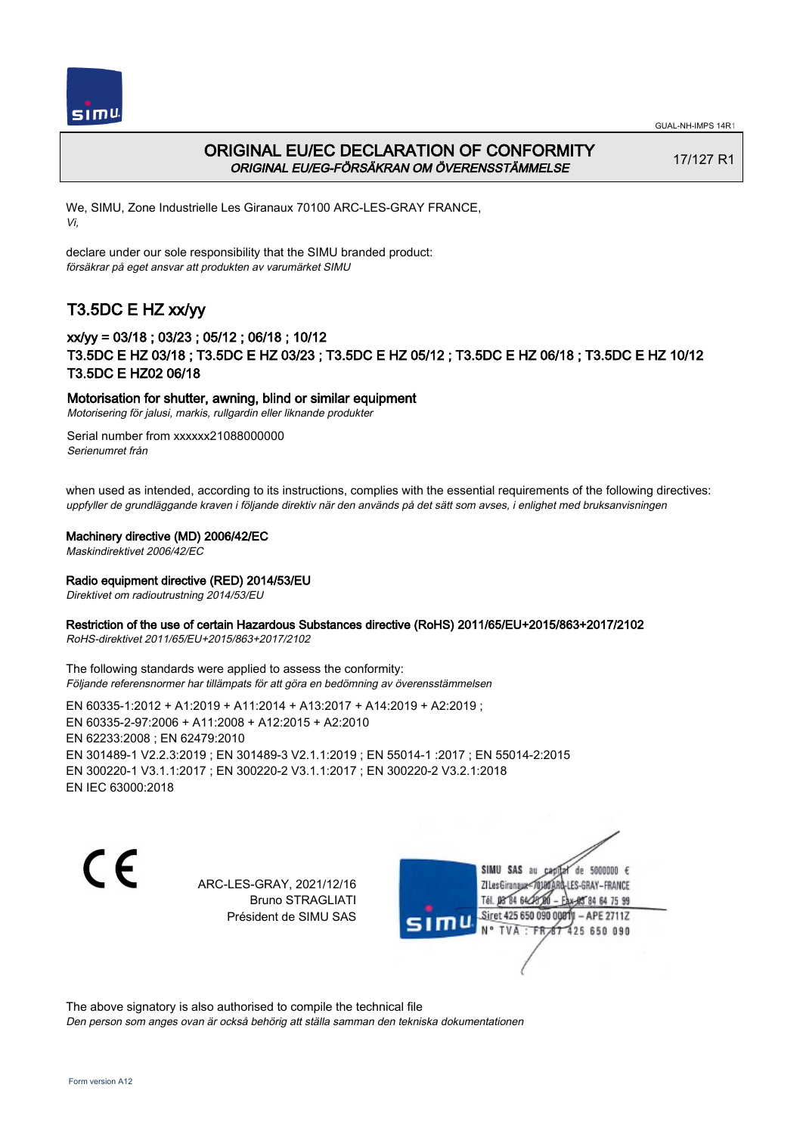



## ORIGINAL EU/EC DECLARATION OF CONFORMITY ORIGINAL EU/EG-FÖRSÄKRAN OM ÖVERENSSTÄMMELSE

17/127 R1

We, SIMU, Zone Industrielle Les Giranaux 70100 ARC-LES-GRAY FRANCE, Vi,

declare under our sole responsibility that the SIMU branded product: försäkrar på eget ansvar att produkten av varumärket SIMU

# T3.5DC E HZ xx/yy

## xx/yy = 03/18 ; 03/23 ; 05/12 ; 06/18 ; 10/12 T3.5DC E HZ 03/18 ; T3.5DC E HZ 03/23 ; T3.5DC E HZ 05/12 ; T3.5DC E HZ 06/18 ; T3.5DC E HZ 10/12 T3.5DC E HZ02 06/18

### Motorisation for shutter, awning, blind or similar equipment

Motorisering för jalusi, markis, rullgardin eller liknande produkter

Serial number from xxxxxx21088000000 Serienumret från

when used as intended, according to its instructions, complies with the essential requirements of the following directives: uppfyller de grundläggande kraven i följande direktiv när den används på det sätt som avses, i enlighet med bruksanvisningen

### Machinery directive (MD) 2006/42/EC

Maskindirektivet 2006/42/EC

### Radio equipment directive (RED) 2014/53/EU

Direktivet om radioutrustning 2014/53/EU

### Restriction of the use of certain Hazardous Substances directive (RoHS) 2011/65/EU+2015/863+2017/2102

RoHS-direktivet 2011/65/EU+2015/863+2017/2102

The following standards were applied to assess the conformity: Följande referensnormer har tillämpats för att göra en bedömning av överensstämmelsen

EN 60335‑1:2012 + A1:2019 + A11:2014 + A13:2017 + A14:2019 + A2:2019 ; EN 60335‑2‑97:2006 + A11:2008 + A12:2015 + A2:2010 EN 62233:2008 ; EN 62479:2010 EN 301489‑1 V2.2.3:2019 ; EN 301489‑3 V2.1.1:2019 ; EN 55014‑1 :2017 ; EN 55014‑2:2015 EN 300220‑1 V3.1.1:2017 ; EN 300220‑2 V3.1.1:2017 ; EN 300220‑2 V3.2.1:2018 EN IEC 63000:2018

C E

ARC-LES-GRAY, 2021/12/16 Bruno STRAGLIATI Président de SIMU SAS

SIMU SAS au de 5000000  $\epsilon$ ZI Les Giranaux</br/>701807 -LES-GRAY-FRANCE Tél. 08 84 64 28 85 84 64 75 99 Siret 425 650 090 0081  $-$  APE 2711Z 425 650 090 TVA · FRAT

The above signatory is also authorised to compile the technical file Den person som anges ovan är också behörig att ställa samman den tekniska dokumentationen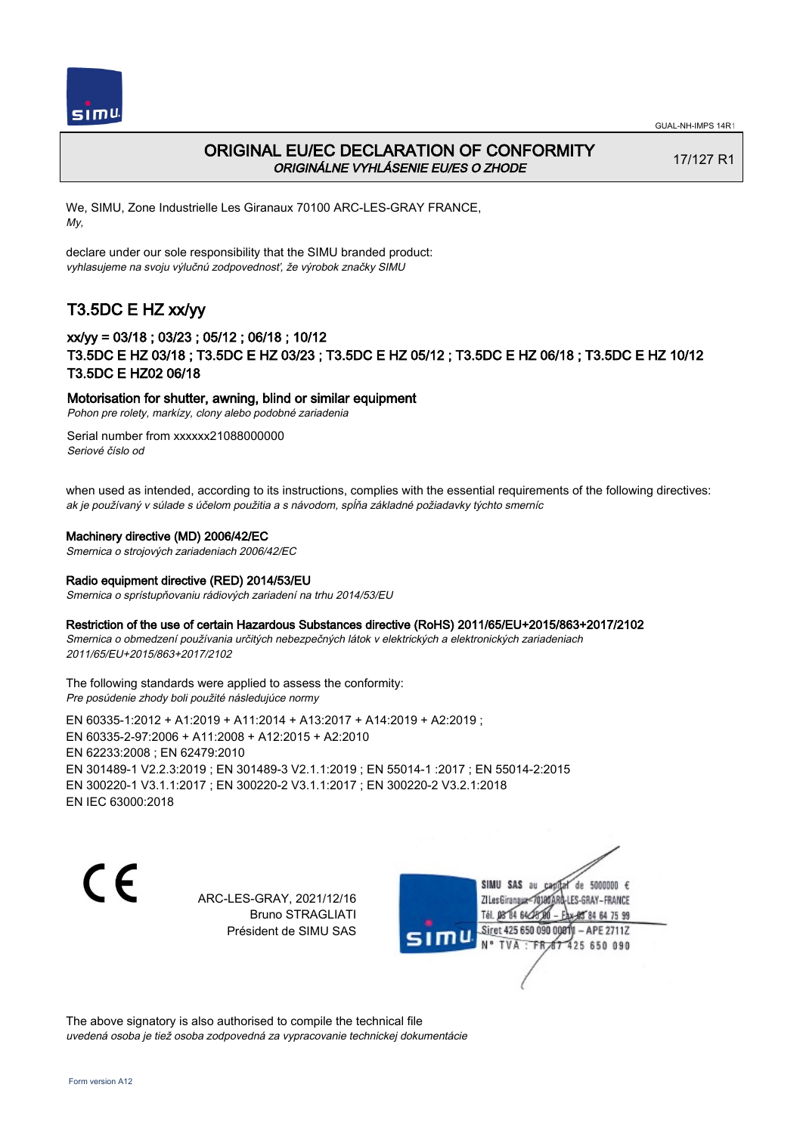

## ORIGINAL EU/EC DECLARATION OF CONFORMITY ORIGINÁLNE VYHLÁSENIE EU/ES O ZHODE

17/127 R1

We, SIMU, Zone Industrielle Les Giranaux 70100 ARC-LES-GRAY FRANCE, My,

declare under our sole responsibility that the SIMU branded product: vyhlasujeme na svoju výlučnú zodpovednosť, že výrobok značky SIMU

# T3.5DC E HZ xx/yy

## xx/yy = 03/18 ; 03/23 ; 05/12 ; 06/18 ; 10/12 T3.5DC E HZ 03/18 ; T3.5DC E HZ 03/23 ; T3.5DC E HZ 05/12 ; T3.5DC E HZ 06/18 ; T3.5DC E HZ 10/12 T3.5DC E HZ02 06/18

### Motorisation for shutter, awning, blind or similar equipment

Pohon pre rolety, markízy, clony alebo podobné zariadenia

Serial number from xxxxxx21088000000 Seriové číslo od

when used as intended, according to its instructions, complies with the essential requirements of the following directives: ak je používaný v súlade s účelom použitia a s návodom, spĺňa základné požiadavky týchto smerníc

### Machinery directive (MD) 2006/42/EC

Smernica o strojových zariadeniach 2006/42/EC

### Radio equipment directive (RED) 2014/53/EU

Smernica o sprístupňovaniu rádiových zariadení na trhu 2014/53/EU

### Restriction of the use of certain Hazardous Substances directive (RoHS) 2011/65/EU+2015/863+2017/2102

Smernica o obmedzení používania určitých nebezpečných látok v elektrických a elektronických zariadeniach 2011/65/EU+2015/863+2017/2102

The following standards were applied to assess the conformity: Pre posúdenie zhody boli použité následujúce normy

EN 60335‑1:2012 + A1:2019 + A11:2014 + A13:2017 + A14:2019 + A2:2019 ; EN 60335‑2‑97:2006 + A11:2008 + A12:2015 + A2:2010 EN 62233:2008 ; EN 62479:2010 EN 301489‑1 V2.2.3:2019 ; EN 301489‑3 V2.1.1:2019 ; EN 55014‑1 :2017 ; EN 55014‑2:2015 EN 300220‑1 V3.1.1:2017 ; EN 300220‑2 V3.1.1:2017 ; EN 300220‑2 V3.2.1:2018 EN IEC 63000:2018

 $\epsilon$ 

ARC-LES-GRAY, 2021/12/16 Bruno STRAGLIATI Président de SIMU SAS



The above signatory is also authorised to compile the technical file uvedená osoba je tiež osoba zodpovedná za vypracovanie technickej dokumentácie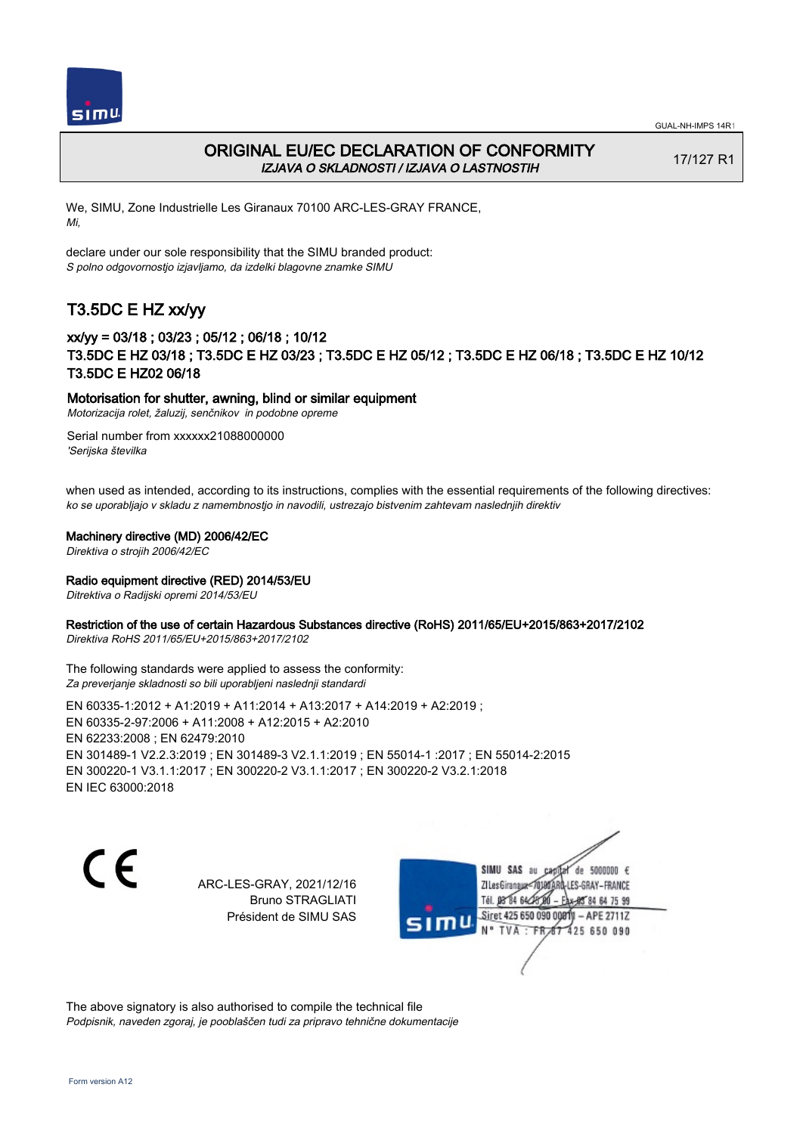



## ORIGINAL EU/EC DECLARATION OF CONFORMITY IZJAVA O SKLADNOSTI / IZJAVA O LASTNOSTIH

17/127 R1

We, SIMU, Zone Industrielle Les Giranaux 70100 ARC-LES-GRAY FRANCE, Mi,

declare under our sole responsibility that the SIMU branded product: S polno odgovornostjo izjavljamo, da izdelki blagovne znamke SIMU

# T3.5DC E HZ xx/yy

## xx/yy = 03/18 ; 03/23 ; 05/12 ; 06/18 ; 10/12 T3.5DC E HZ 03/18 ; T3.5DC E HZ 03/23 ; T3.5DC E HZ 05/12 ; T3.5DC E HZ 06/18 ; T3.5DC E HZ 10/12 T3.5DC E HZ02 06/18

### Motorisation for shutter, awning, blind or similar equipment

Motorizacija rolet, žaluzij, senčnikov in podobne opreme

Serial number from xxxxxx21088000000 'Serijska številka

when used as intended, according to its instructions, complies with the essential requirements of the following directives: ko se uporabljajo v skladu z namembnostjo in navodili, ustrezajo bistvenim zahtevam naslednjih direktiv

### Machinery directive (MD) 2006/42/EC

Direktiva o strojih 2006/42/EC

### Radio equipment directive (RED) 2014/53/EU

Ditrektiva o Radijski opremi 2014/53/EU

### Restriction of the use of certain Hazardous Substances directive (RoHS) 2011/65/EU+2015/863+2017/2102

Direktiva RoHS 2011/65/EU+2015/863+2017/2102

The following standards were applied to assess the conformity: Za preverjanje skladnosti so bili uporabljeni naslednji standardi

EN 60335‑1:2012 + A1:2019 + A11:2014 + A13:2017 + A14:2019 + A2:2019 ; EN 60335‑2‑97:2006 + A11:2008 + A12:2015 + A2:2010 EN 62233:2008 ; EN 62479:2010 EN 301489‑1 V2.2.3:2019 ; EN 301489‑3 V2.1.1:2019 ; EN 55014‑1 :2017 ; EN 55014‑2:2015 EN 300220‑1 V3.1.1:2017 ; EN 300220‑2 V3.1.1:2017 ; EN 300220‑2 V3.2.1:2018 EN IEC 63000:2018

C E

ARC-LES-GRAY, 2021/12/16 Bruno STRAGLIATI Président de SIMU SAS

SIMU SAS au de 5000000  $\epsilon$ ZI Les Giranaux</DJ80AF -LES-GRAY-FRANCE Tél. 08 84 64 28 85 84 64 75 99 Siret 425 650 090 0081  $-$  APE 2711Z mu 425 650 090 TVA · FRAT

The above signatory is also authorised to compile the technical file Podpisnik, naveden zgoraj, je pooblaščen tudi za pripravo tehnične dokumentacije